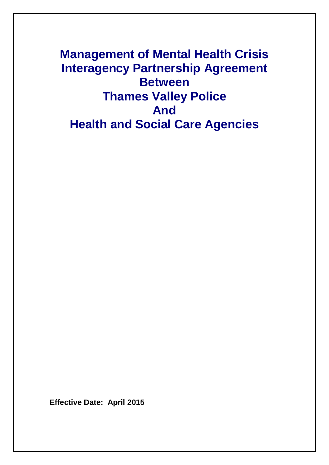**Management of Mental Health Crisis Interagency Partnership Agreement Between Thames Valley Police And Health and Social Care Agencies**

**Effective Date: April 2015**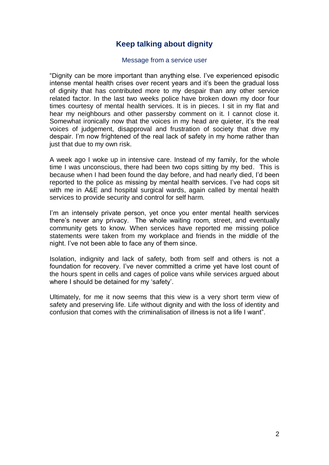## **Keep talking about dignity**

#### Message from a service user

―Dignity can be more important than anything else. I've experienced episodic intense mental health crises over recent years and it's been the gradual loss of dignity that has contributed more to my despair than any other service related factor. In the last two weeks police have broken down my door four times courtesy of mental health services. It is in pieces. I sit in my flat and hear my neighbours and other passersby comment on it. I cannot close it. Somewhat ironically now that the voices in my head are quieter, it's the real voices of judgement, disapproval and frustration of society that drive my despair. I'm now frightened of the real lack of safety in my home rather than just that due to my own risk.

A week ago I woke up in intensive care. Instead of my family, for the whole time I was unconscious, there had been two cops sitting by my bed. This is because when I had been found the day before, and had nearly died, I'd been reported to the police as missing by mental health services. I've had cops sit with me in A&E and hospital surgical wards, again called by mental health services to provide security and control for self harm.

I'm an intensely private person, yet once you enter mental health services there's never any privacy. The whole waiting room, street, and eventually community gets to know. When services have reported me missing police statements were taken from my workplace and friends in the middle of the night. I've not been able to face any of them since.

Isolation, indignity and lack of safety, both from self and others is not a foundation for recovery. I've never committed a crime yet have lost count of the hours spent in cells and cages of police vans while services argued about where I should be detained for my 'safety'.

Ultimately, for me it now seems that this view is a very short term view of safety and preserving life. Life without dignity and with the loss of identity and confusion that comes with the criminalisation of illness is not a life I want".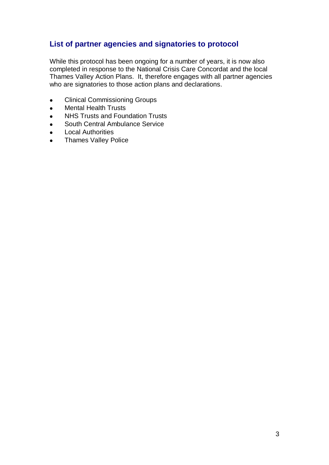## **List of partner agencies and signatories to protocol**

While this protocol has been ongoing for a number of years, it is now also completed in response to the National Crisis Care Concordat and the local Thames Valley Action Plans. It, therefore engages with all partner agencies who are signatories to those action plans and declarations.

- Clinical Commissioning Groups  $\bullet$
- Mental Health Trusts  $\bullet$
- NHS Trusts and Foundation Trusts  $\bullet$
- South Central Ambulance Service  $\bullet$
- Local Authorities  $\bullet$
- Thames Valley Police  $\bullet$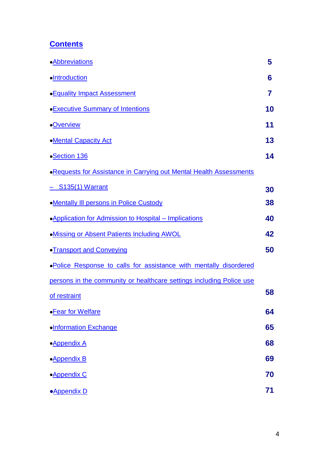# <span id="page-3-0"></span>**[Contents](#page-3-0)**

| <b>•Abbreviations</b>                                                      | 5  |
|----------------------------------------------------------------------------|----|
| ·Introduction                                                              | 6  |
| <b>• Equality Impact Assessment</b>                                        | 7  |
| <b>Executive Summary of Intentions</b>                                     | 10 |
| <b>•Overview</b>                                                           | 11 |
| •Mental Capacity Act                                                       | 13 |
| • <b>Section 136</b>                                                       | 14 |
| <b>. Requests for Assistance in Carrying out Mental Health Assessments</b> |    |
| <u>- S135(1) Warrant</u>                                                   | 30 |
| <b>.Mentally III persons in Police Custody</b>                             | 38 |
| •Application for Admission to Hospital - Implications                      | 40 |
| . Missing or Absent Patients Including AWOL                                | 42 |
| •Transport and Conveying                                                   | 50 |
| . Police Response to calls for assistance with mentally disordered         |    |
| persons in the community or healthcare settings including Police use       |    |
| of restraint                                                               | 58 |
| •Fear for Welfare                                                          | 64 |
| ·Information Exchange                                                      | 65 |
| • <b>Appendix A</b>                                                        | 68 |
| •Appendix B                                                                | 69 |
| · <b>Appendix C</b>                                                        | 70 |
| • <b>Appendix D</b>                                                        | 71 |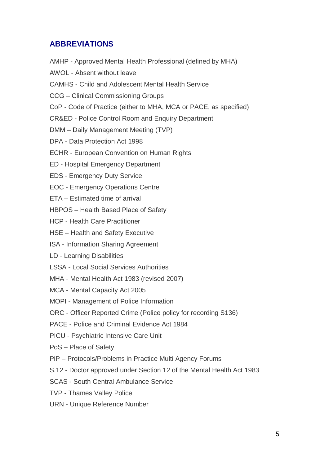## <span id="page-4-0"></span>**ABBREVIATIONS**

AMHP - Approved Mental Health Professional (defined by MHA) AWOL - Absent without leave CAMHS - Child and Adolescent Mental Health Service CCG – Clinical Commissioning Groups CoP - Code of Practice (either to MHA, MCA or PACE, as specified) CR&ED - Police Control Room and Enquiry Department DMM – Daily Management Meeting (TVP) DPA - Data Protection Act 1998 ECHR - European Convention on Human Rights ED - Hospital Emergency Department EDS - Emergency Duty Service EOC - Emergency Operations Centre ETA – Estimated time of arrival HBPOS – Health Based Place of Safety HCP - Health Care Practitioner HSE – Health and Safety Executive ISA - Information Sharing Agreement LD - Learning Disabilities LSSA - Local Social Services Authorities MHA - Mental Health Act 1983 (revised 2007) MCA - Mental Capacity Act 2005 MOPI - Management of Police Information ORC - Officer Reported Crime (Police policy for recording S136) PACE - Police and Criminal Evidence Act 1984 PICU - Psychiatric Intensive Care Unit PoS – Place of Safety PiP – Protocols/Problems in Practice Multi Agency Forums S.12 - Doctor approved under Section 12 of the Mental Health Act 1983 SCAS - South Central Ambulance Service

- TVP Thames Valley Police
- URN Unique Reference Number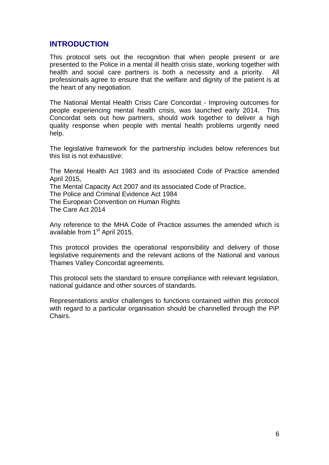## <span id="page-5-0"></span>**INTRODUCTION**

This protocol sets out the recognition that when people present or are presented to the Police in a mental ill health crisis state, working together with health and social care partners is both a necessity and a priority. All professionals agree to ensure that the welfare and dignity of the patient is at the heart of any negotiation.

The National Mental Health Crisis Care Concordat - Improving outcomes for people experiencing mental health crisis, was launched early 2014. This Concordat sets out how partners, should work together to deliver a high quality response when people with mental health problems urgently need help.

The legislative framework for the partnership includes below references but this list is not exhaustive:

The Mental Health Act 1983 and its associated Code of Practice amended April 2015, The Mental Capacity Act 2007 and its associated Code of Practice, The Police and Criminal Evidence Act 1984 The European Convention on Human Rights The Care Act 2014

Any reference to the MHA Code of Practice assumes the amended which is available from 1<sup>st</sup> April 2015.

This protocol provides the operational responsibility and delivery of those legislative requirements and the relevant actions of the National and various Thames Valley Concordat agreements.

This protocol sets the standard to ensure compliance with relevant legislation, national guidance and other sources of standards.

Representations and/or challenges to functions contained within this protocol with regard to a particular organisation should be channelled through the PiP Chairs.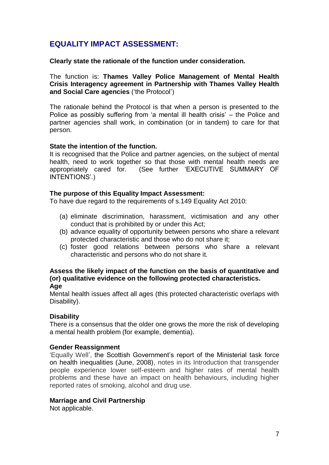## <span id="page-6-0"></span>**EQUALITY IMPACT ASSESSMENT:**

**Clearly state the rationale of the function under consideration.** 

The function is: **Thames Valley Police Management of Mental Health Crisis Interagency agreement in Partnership with Thames Valley Health**  and Social Care agencies ('the Protocol')

The rationale behind the Protocol is that when a person is presented to the Police as possibly suffering from 'a mental ill health crisis' – the Police and partner agencies shall work, in combination (or in tandem) to care for that person.

## **State the intention of the function.**

It is recognised that the Police and partner agencies, on the subject of mental health, need to work together so that those with mental health needs are appropriately cared for. (See further 'EXECUTIVE SUMMARY OF INTENTIONS'.)

## **The purpose of this Equality Impact Assessment:**

To have due regard to the requirements of s.149 Equality Act 2010:

- (a) eliminate discrimination, harassment, victimisation and any other conduct that is prohibited by or under this Act;
- (b) advance equality of opportunity between persons who share a relevant protected characteristic and those who do not share it;
- (c) foster good relations between persons who share a relevant characteristic and persons who do not share it.

#### **Assess the likely impact of the function on the basis of quantitative and (or) qualitative evidence on the following protected characteristics. Age**

Mental health issues affect all ages (this protected characteristic overlaps with Disability).

## **Disability**

There is a consensus that the older one grows the more the risk of developing a mental health problem (for example, dementia).

## **Gender Reassignment**

‗Equally Well', the Scottish Government's report of the Ministerial task force on health inequalities (June, 2008), notes in its Introduction that transgender people experience lower self-esteem and higher rates of mental health problems and these have an impact on health behaviours, including higher reported rates of smoking, alcohol and drug use.

## **Marriage and Civil Partnership**

Not applicable.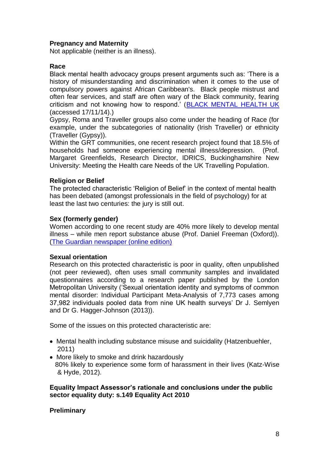## **Pregnancy and Maternity**

Not applicable (neither is an illness).

## **Race**

Black mental health advocacy groups present arguments such as: 'There is a history of misunderstanding and discrimination when it comes to the use of compulsory powers against African Caribbean's. Black people mistrust and often fear services, and staff are often wary of the Black community, fearing criticism and not knowing how to respond.' [\(BLACK MENTAL HEALTH UK](http://www.blackmentalhealth.org.uk/index.php?option=com_content&id=154&Itemid=139) (accessed 17/11/14).)

Gypsy, Roma and Traveller groups also come under the heading of Race (for example, under the subcategories of nationality (Irish Traveller) or ethnicity (Traveller (Gypsy)).

Within the GRT communities, one recent research project found that 18.5% of households had someone experiencing mental illness/depression. (Prof. Margaret Greenfields, Research Director, IDRICS, Buckinghamshire New University: Meeting the Health care Needs of the UK Travelling Population.

## **Religion or Belief**

The protected characteristic 'Religion of Belief' in the context of mental health has been debated (amongst professionals in the field of psychology) for at least the last two centuries: the jury is still out.

## **Sex (formerly gender)**

Women according to one recent study are 40% more likely to develop mental illness – while men report substance abuse (Prof. Daniel Freeman (Oxford)). [\(The Guardian newspaper \(online edition\)](http://www.theguardian.com/society/2013/may/22/women-men-mental-illness-study)

## **Sexual orientation**

Research on this protected characteristic is poor in quality, often unpublished (not peer reviewed), often uses small community samples and invalidated questionnaires according to a research paper published by the London Metropolitan University ('Sexual orientation identity and symptoms of common mental disorder: Individual Participant Meta-Analysis of 7,773 cases among 37,982 individuals pooled data from nine UK health surveys' Dr J. Semlyen and Dr G. Hagger-Johnson (2013)).

Some of the issues on this protected characteristic are:

- Mental health including substance misuse and suicidality (Hatzenbuehler, 2011)
- More likely to smoke and drink hazardously 80% likely to experience some form of harassment in their lives (Katz-Wise & Hyde, 2012).

**Equality Impact Assessor"s rationale and conclusions under the public sector equality duty: s.149 Equality Act 2010** 

## **Preliminary**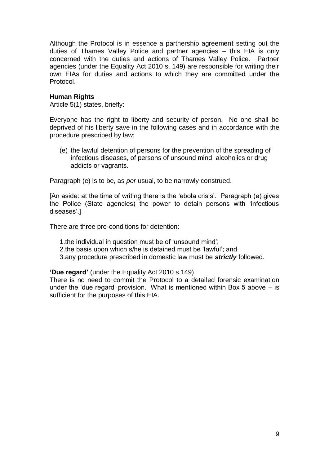Although the Protocol is in essence a partnership agreement setting out the duties of Thames Valley Police and partner agencies – this EIA is only concerned with the duties and actions of Thames Valley Police. Partner agencies (under the Equality Act 2010 s. 149) are responsible for writing their own EIAs for duties and actions to which they are committed under the Protocol.

## **Human Rights**

Article 5(1) states, briefly:

Everyone has the right to liberty and security of person. No one shall be deprived of his liberty save in the following cases and in accordance with the procedure prescribed by law:

(e) the lawful detention of persons for the prevention of the spreading of infectious diseases, of persons of unsound mind, alcoholics or drug addicts or vagrants.

Paragraph (e) is to be, as *per* usual, to be narrowly construed.

[An aside: at the time of writing there is the 'ebola crisis'. Paragraph (e) gives the Police (State agencies) the power to detain persons with ‗infectious diseases'.]

There are three pre-conditions for detention:

1. the individual in question must be of 'unsound mind';

- 2.the basis upon which s/he is detained must be 'lawful'; and
- 3.any procedure prescribed in domestic law must be *strictly* followed.

**"Due regard"** (under the Equality Act 2010 s.149)

There is no need to commit the Protocol to a detailed forensic examination under the 'due regard' provision. What is mentioned within Box 5 above  $-$  is sufficient for the purposes of this EIA.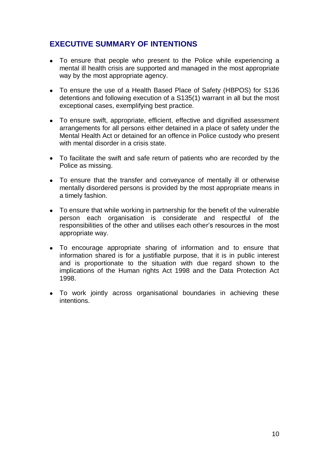## <span id="page-9-0"></span>**EXECUTIVE SUMMARY OF INTENTIONS**

- To ensure that people who present to the Police while experiencing a mental ill health crisis are supported and managed in the most appropriate way by the most appropriate agency.
- To ensure the use of a Health Based Place of Safety (HBPOS) for S136 detentions and following execution of a S135(1) warrant in all but the most exceptional cases, exemplifying best practice.
- To ensure swift, appropriate, efficient, effective and dignified assessment arrangements for all persons either detained in a place of safety under the Mental Health Act or detained for an offence in Police custody who present with mental disorder in a crisis state.
- To facilitate the swift and safe return of patients who are recorded by the Police as missing.
- To ensure that the transfer and conveyance of mentally ill or otherwise mentally disordered persons is provided by the most appropriate means in a timely fashion.
- To ensure that while working in partnership for the benefit of the vulnerable person each organisation is considerate and respectful of the responsibilities of the other and utilises each other's resources in the most appropriate way.
- To encourage appropriate sharing of information and to ensure that information shared is for a justifiable purpose, that it is in public interest and is proportionate to the situation with due regard shown to the implications of the Human rights Act 1998 and the Data Protection Act 1998.
- To work jointly across organisational boundaries in achieving these intentions.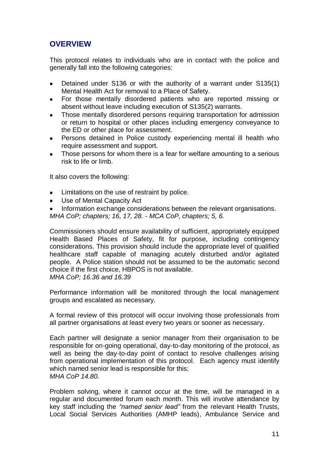## <span id="page-10-0"></span>**OVERVIEW**

This protocol relates to individuals who are in contact with the police and generally fall into the following categories:

- Detained under S136 or with the authority of a warrant under S135(1) Mental Health Act for removal to a Place of Safety.
- For those mentally disordered patients who are reported missing or absent without leave including execution of S135(2) warrants.
- Those mentally disordered persons requiring transportation for admission or return to hospital or other places including emergency conveyance to the ED or other place for assessment.
- Persons detained in Police custody experiencing mental ill health who require assessment and support.
- Those persons for whom there is a fear for welfare amounting to a serious risk to life or limb.

It also covers the following:

- Limitations on the use of restraint by police.
- Use of Mental Capacity Act  $\bullet$
- Information exchange considerations between the relevant organisations.

*MHA CoP; chapters; 16, 17, 28. - MCA CoP, chapters; 5, 6.* 

Commissioners should ensure availability of sufficient, appropriately equipped Health Based Places of Safety, fit for purpose, including contingency considerations. This provision should include the appropriate level of qualified healthcare staff capable of managing acutely disturbed and/or agitated people. A Police station should not be assumed to be the automatic second choice if the first choice, HBPOS is not available. *MHA CoP; 16.36 and 16.39*

Performance information will be monitored through the local management groups and escalated as necessary.

A formal review of this protocol will occur involving those professionals from all partner organisations at least every two years or sooner as necessary.

Each partner will designate a senior manager from their organisation to be responsible for on-going operational, day-to-day monitoring of the protocol, as well as being the day-to-day point of contact to resolve challenges arising from operational implementation of this protocol. Each agency must identify which named senior lead is responsible for this; *MHA CoP 14.80.*

Problem solving, where it cannot occur at the time, will be managed in a regular and documented forum each month. This will involve attendance by key staff including the *"named senior lead"* from the relevant Health Trusts, Local Social Services Authorities (AMHP leads), Ambulance Service and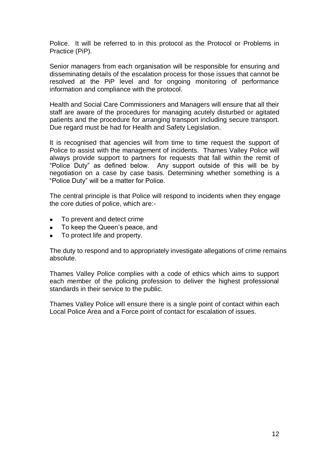Police. It will be referred to in this protocol as the Protocol or Problems in Practice (PiP).

Senior managers from each organisation will be responsible for ensuring and disseminating details of the escalation process for those issues that cannot be resolved at the PiP level and for ongoing monitoring of performance information and compliance with the protocol.

Health and Social Care Commissioners and Managers will ensure that all their staff are aware of the procedures for managing acutely disturbed or agitated patients and the procedure for arranging transport including secure transport. Due regard must be had for Health and Safety Legislation.

It is recognised that agencies will from time to time request the support of Police to assist with the management of incidents. Thames Valley Police will always provide support to partners for requests that fall within the remit of "Police Duty" as defined below. Any support outside of this will be by negotiation on a case by case basis. Determining whether something is a "Police Duty" will be a matter for Police.

The central principle is that Police will respond to incidents when they engage the core duties of police, which are:-

- To prevent and detect crime  $\bullet$
- To keep the Queen's peace, and  $\bullet$
- To protect life and property.

The duty to respond and to appropriately investigate allegations of crime remains absolute.

Thames Valley Police complies with a code of ethics which aims to support each member of the policing profession to deliver the highest professional standards in their service to the public.

Thames Valley Police will ensure there is a single point of contact within each Local Police Area and a Force point of contact for escalation of issues.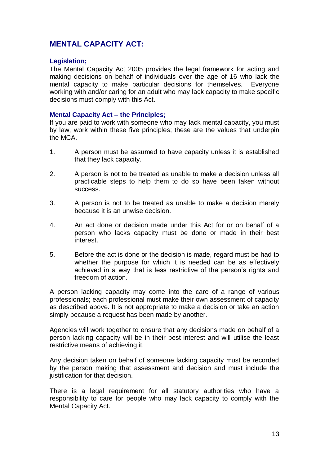## <span id="page-12-0"></span>**MENTAL CAPACITY ACT:**

## **Legislation;**

The Mental Capacity Act 2005 provides the legal framework for acting and making decisions on behalf of individuals over the age of 16 who lack the mental capacity to make particular decisions for themselves. Everyone working with and/or caring for an adult who may lack capacity to make specific decisions must comply with this Act.

#### **Mental Capacity Act – the Principles;**

If you are paid to work with someone who may lack mental capacity, you must by law, work within these five principles; these are the values that underpin the MCA.

- 1. A person must be assumed to have capacity unless it is established that they lack capacity.
- 2. A person is not to be treated as unable to make a decision unless all practicable steps to help them to do so have been taken without success.
- 3. A person is not to be treated as unable to make a decision merely because it is an unwise decision.
- 4. An act done or decision made under this Act for or on behalf of a person who lacks capacity must be done or made in their best interest.
- 5. Before the act is done or the decision is made, regard must be had to whether the purpose for which it is needed can be as effectively achieved in a way that is less restrictive of the person's rights and freedom of action.

A person lacking capacity may come into the care of a range of various professionals; each professional must make their own assessment of capacity as described above. It is not appropriate to make a decision or take an action simply because a request has been made by another.

Agencies will work together to ensure that any decisions made on behalf of a person lacking capacity will be in their best interest and will utilise the least restrictive means of achieving it.

Any decision taken on behalf of someone lacking capacity must be recorded by the person making that assessment and decision and must include the justification for that decision.

There is a legal requirement for all statutory authorities who have a responsibility to care for people who may lack capacity to comply with the Mental Capacity Act.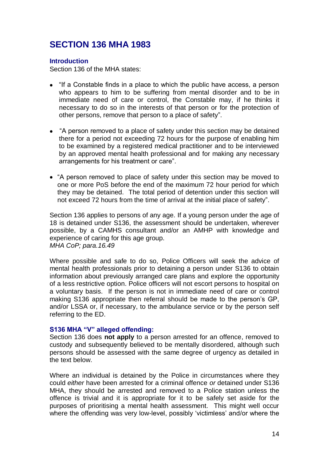# <span id="page-13-0"></span>**SECTION 136 MHA 1983**

#### **Introduction**

Section 136 of the MHA states:

- "If a Constable finds in a place to which the public have access, a person who appears to him to be suffering from mental disorder and to be in immediate need of care or control, the Constable may, if he thinks it necessary to do so in the interests of that person or for the protection of other persons, remove that person to a place of safety".
- "A person removed to a place of safety under this section may be detained there for a period not exceeding 72 hours for the purpose of enabling him to be examined by a registered medical practitioner and to be interviewed by an approved mental health professional and for making any necessary arrangements for his treatment or care".
- "A person removed to place of safety under this section may be moved to one or more PoS before the end of the maximum 72 hour period for which they may be detained. The total period of detention under this section will not exceed 72 hours from the time of arrival at the initial place of safety".

Section 136 applies to persons of any age. If a young person under the age of 18 is detained under S136, the assessment should be undertaken, wherever possible, by a CAMHS consultant and/or an AMHP with knowledge and experience of caring for this age group. *MHA CoP; para.16.49*

Where possible and safe to do so, Police Officers will seek the advice of mental health professionals prior to detaining a person under S136 to obtain information about previously arranged care plans and explore the opportunity of a less restrictive option. Police officers will not escort persons to hospital on a voluntary basis. If the person is not in immediate need of care or control making S136 appropriate then referral should be made to the person's GP, and/or LSSA or, if necessary, to the ambulance service or by the person self referring to the ED.

#### **S136 MHA "V" alleged offending:**

Section 136 does **not apply** to a person arrested for an offence, removed to custody and subsequently believed to be mentally disordered, although such persons should be assessed with the same degree of urgency as detailed in the text below.

Where an individual is detained by the Police in circumstances where they could *either* have been arrested for a criminal offence *or* detained under S136 MHA, they should be arrested and removed to a Police station unless the offence is trivial and it is appropriate for it to be safely set aside for the purposes of prioritising a mental health assessment. This might well occur where the offending was very low-level, possibly 'victimless' and/or where the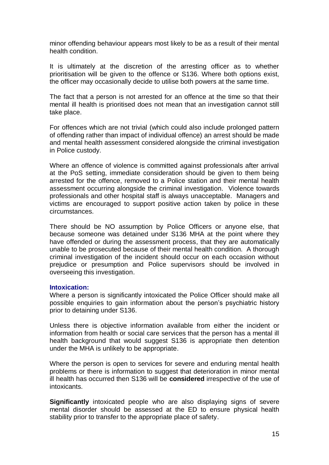minor offending behaviour appears most likely to be as a result of their mental health condition.

It is ultimately at the discretion of the arresting officer as to whether prioritisation will be given to the offence or S136. Where both options exist, the officer may occasionally decide to utilise both powers at the same time.

The fact that a person is not arrested for an offence at the time so that their mental ill health is prioritised does not mean that an investigation cannot still take place.

For offences which are not trivial (which could also include prolonged pattern of offending rather than impact of individual offence) an arrest should be made and mental health assessment considered alongside the criminal investigation in Police custody.

Where an offence of violence is committed against professionals after arrival at the PoS setting, immediate consideration should be given to them being arrested for the offence, removed to a Police station and their mental health assessment occurring alongside the criminal investigation. Violence towards professionals and other hospital staff is always unacceptable. Managers and victims are encouraged to support positive action taken by police in these circumstances.

There should be NO assumption by Police Officers or anyone else, that because someone was detained under S136 MHA at the point where they have offended or during the assessment process, that they are automatically unable to be prosecuted because of their mental health condition. A thorough criminal investigation of the incident should occur on each occasion without prejudice or presumption and Police supervisors should be involved in overseeing this investigation.

#### **Intoxication:**

Where a person is significantly intoxicated the Police Officer should make all possible enquiries to gain information about the person's psychiatric history prior to detaining under S136.

Unless there is objective information available from either the incident or information from health or social care services that the person has a mental ill health background that would suggest S136 is appropriate then detention under the MHA is unlikely to be appropriate.

Where the person is open to services for severe and enduring mental health problems or there is information to suggest that deterioration in minor mental ill health has occurred then S136 will be **considered** irrespective of the use of intoxicants.

**Significantly** intoxicated people who are also displaying signs of severe mental disorder should be assessed at the ED to ensure physical health stability prior to transfer to the appropriate place of safety.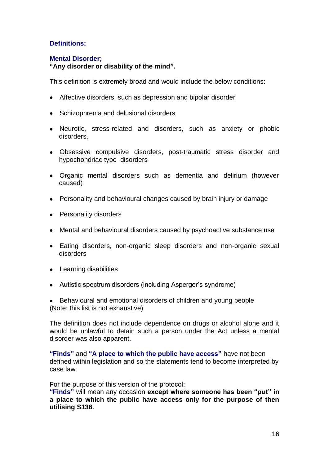## **Definitions:**

#### **Mental Disorder;**

**"Any disorder or disability of the mind".** 

This definition is extremely broad and would include the below conditions:

- Affective disorders, such as depression and bipolar disorder
- Schizophrenia and delusional disorders
- Neurotic, stress-related and disorders, such as anxiety or phobic disorders,
- Obsessive compulsive disorders, post-traumatic stress disorder and hypochondriac type disorders
- Organic mental disorders such as dementia and delirium (however caused)
- Personality and behavioural changes caused by brain injury or damage
- Personality disorders
- Mental and behavioural disorders caused by psychoactive substance use
- Eating disorders, non-organic sleep disorders and non-organic sexual disorders
- Learning disabilities
- Autistic spectrum disorders (including Asperger's syndrome)
- Behavioural and emotional disorders of children and young people (Note: this list is not exhaustive)

The definition does not include dependence on drugs or alcohol alone and it would be unlawful to detain such a person under the Act unless a mental disorder was also apparent.

**"Finds"** and **"A place to which the public have access"** have not been defined within legislation and so the statements tend to become interpreted by case law.

For the purpose of this version of the protocol;

**"Finds"** will mean any occasion **except where someone has been "put" in a place to which the public have access only for the purpose of then utilising S136**.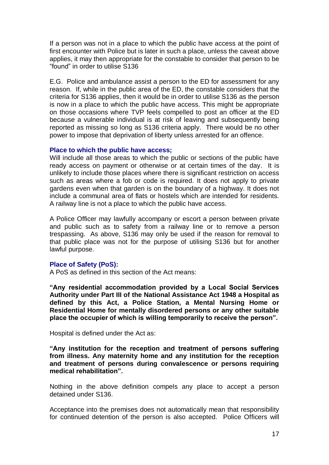If a person was not in a place to which the public have access at the point of first encounter with Police but is later in such a place, unless the caveat above applies, it may then appropriate for the constable to consider that person to be ―found‖ in order to utilise S136

E.G. Police and ambulance assist a person to the ED for assessment for any reason. If, while in the public area of the ED, the constable considers that the criteria for S136 applies, then it would be in order to utilise S136 as the person is now in a place to which the public have access. This might be appropriate on those occasions where TVP feels compelled to post an officer at the ED because a vulnerable individual is at risk of leaving and subsequently being reported as missing so long as S136 criteria apply. There would be no other power to impose that deprivation of liberty unless arrested for an offence.

#### **Place to which the public have access;**

Will include all those areas to which the public or sections of the public have ready access on payment or otherwise or at certain times of the day. It is unlikely to include those places where there is significant restriction on access such as areas where a fob or code is required. It does not apply to private gardens even when that garden is on the boundary of a highway. It does not include a communal area of flats or hostels which are intended for residents. A railway line is not a place to which the public have access.

A Police Officer may lawfully accompany or escort a person between private and public such as to safety from a railway line or to remove a person trespassing. As above, S136 may only be used if the reason for removal to that public place was not for the purpose of utilising S136 but for another lawful purpose.

## **Place of Safety (PoS):**

A PoS as defined in this section of the Act means:

**"Any residential accommodation provided by a Local Social Services Authority under Part III of the National Assistance Act 1948 a Hospital as defined by this Act, a Police Station, a Mental Nursing Home or Residential Home for mentally disordered persons or any other suitable place the occupier of which is willing temporarily to receive the person".**

Hospital is defined under the Act as:

**"Any institution for the reception and treatment of persons suffering from illness. Any maternity home and any institution for the reception and treatment of persons during convalescence or persons requiring medical rehabilitation".**

Nothing in the above definition compels any place to accept a person detained under S136.

Acceptance into the premises does not automatically mean that responsibility for continued detention of the person is also accepted. Police Officers will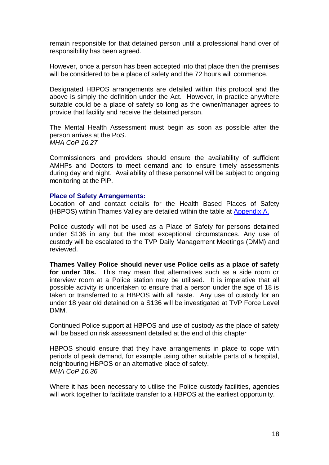remain responsible for that detained person until a professional hand over of responsibility has been agreed.

However, once a person has been accepted into that place then the premises will be considered to be a place of safety and the 72 hours will commence.

Designated HBPOS arrangements are detailed within this protocol and the above is simply the definition under the Act. However, in practice anywhere suitable could be a place of safety so long as the owner/manager agrees to provide that facility and receive the detained person.

The Mental Health Assessment must begin as soon as possible after the person arrives at the PoS. *MHA CoP 16.27*

Commissioners and providers should ensure the availability of sufficient AMHPs and Doctors to meet demand and to ensure timely assessments during day and night. Availability of these personnel will be subject to ongoing monitoring at the PiP.

#### **Place of Safety Arrangements:**

Location of and contact details for the Health Based Places of Safety (HBPOS) within Thames Valley are detailed within the table at [Appendix A.](#page-67-0)

Police custody will not be used as a Place of Safety for persons detained under S136 in any but the most exceptional circumstances. Any use of custody will be escalated to the TVP Daily Management Meetings (DMM) and reviewed.

**Thames Valley Police should never use Police cells as a place of safety for under 18s.** This may mean that alternatives such as a side room or interview room at a Police station may be utilised. It is imperative that all possible activity is undertaken to ensure that a person under the age of 18 is taken or transferred to a HBPOS with all haste. Any use of custody for an under 18 year old detained on a S136 will be investigated at TVP Force Level DMM.

Continued Police support at HBPOS and use of custody as the place of safety will be based on risk assessment detailed at the end of this chapter

HBPOS should ensure that they have arrangements in place to cope with periods of peak demand, for example using other suitable parts of a hospital, neighbouring HBPOS or an alternative place of safety. *MHA CoP 16.36*

Where it has been necessary to utilise the Police custody facilities, agencies will work together to facilitate transfer to a HBPOS at the earliest opportunity.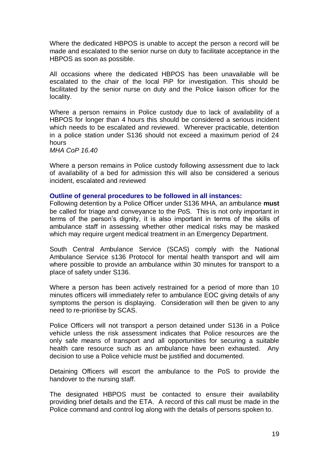Where the dedicated HBPOS is unable to accept the person a record will be made and escalated to the senior nurse on duty to facilitate acceptance in the HBPOS as soon as possible.

All occasions where the dedicated HBPOS has been unavailable will be escalated to the chair of the local PiP for investigation. This should be facilitated by the senior nurse on duty and the Police liaison officer for the locality.

Where a person remains in Police custody due to lack of availability of a HBPOS for longer than 4 hours this should be considered a serious incident which needs to be escalated and reviewed. Wherever practicable, detention in a police station under S136 should not exceed a maximum period of 24 hours

*MHA CoP 16.40*

Where a person remains in Police custody following assessment due to lack of availability of a bed for admission this will also be considered a serious incident, escalated and reviewed

#### **Outline of general procedures to be followed in all instances:**

Following detention by a Police Officer under S136 MHA, an ambulance **must** be called for triage and conveyance to the PoS. This is not only important in terms of the person's dignity, it is also important in terms of the skills of ambulance staff in assessing whether other medical risks may be masked which may require urgent medical treatment in an Emergency Department.

South Central Ambulance Service (SCAS) comply with the National Ambulance Service s136 Protocol for mental health transport and will aim where possible to provide an ambulance within 30 minutes for transport to a place of safety under S136.

Where a person has been actively restrained for a period of more than 10 minutes officers will immediately refer to ambulance EOC giving details of any symptoms the person is displaying. Consideration will then be given to any need to re-prioritise by SCAS.

Police Officers will not transport a person detained under S136 in a Police vehicle unless the risk assessment indicates that Police resources are the only safe means of transport and all opportunities for securing a suitable health care resource such as an ambulance have been exhausted. Any decision to use a Police vehicle must be justified and documented.

Detaining Officers will escort the ambulance to the PoS to provide the handover to the nursing staff.

The designated HBPOS must be contacted to ensure their availability providing brief details and the ETA. A record of this call must be made in the Police command and control log along with the details of persons spoken to.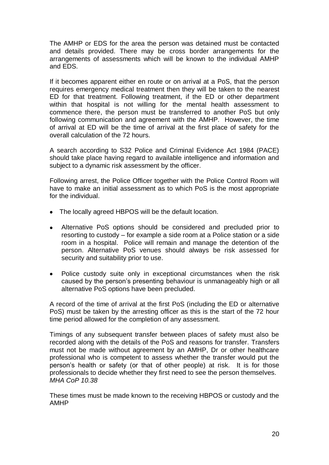The AMHP or EDS for the area the person was detained must be contacted and details provided. There may be cross border arrangements for the arrangements of assessments which will be known to the individual AMHP and EDS.

If it becomes apparent either en route or on arrival at a PoS, that the person requires emergency medical treatment then they will be taken to the nearest ED for that treatment. Following treatment, if the ED or other department within that hospital is not willing for the mental health assessment to commence there, the person must be transferred to another PoS but only following communication and agreement with the AMHP. However, the time of arrival at ED will be the time of arrival at the first place of safety for the overall calculation of the 72 hours.

A search according to S32 Police and Criminal Evidence Act 1984 (PACE) should take place having regard to available intelligence and information and subject to a dynamic risk assessment by the officer.

Following arrest, the Police Officer together with the Police Control Room will have to make an initial assessment as to which PoS is the most appropriate for the individual.

- The locally agreed HBPOS will be the default location.
- $\bullet$ Alternative PoS options should be considered and precluded prior to resorting to custody – for example a side room at a Police station or a side room in a hospital. Police will remain and manage the detention of the person. Alternative PoS venues should always be risk assessed for security and suitability prior to use.
- Police custody suite only in exceptional circumstances when the risk  $\bullet$ caused by the person's presenting behaviour is unmanageably high or all alternative PoS options have been precluded.

A record of the time of arrival at the first PoS (including the ED or alternative PoS) must be taken by the arresting officer as this is the start of the 72 hour time period allowed for the completion of any assessment.

Timings of any subsequent transfer between places of safety must also be recorded along with the details of the PoS and reasons for transfer. Transfers must not be made without agreement by an AMHP, Dr or other healthcare professional who is competent to assess whether the transfer would put the person's health or safety (or that of other people) at risk. It is for those professionals to decide whether they first need to see the person themselves. *MHA CoP 10.38*

These times must be made known to the receiving HBPOS or custody and the AMHP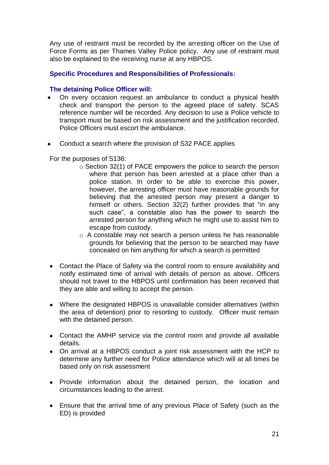Any use of restraint must be recorded by the arresting officer on the Use of Force Forms as per Thames Valley Police policy. Any use of restraint must also be explained to the receiving nurse at any HBPOS.

## **Specific Procedures and Responsibilities of Professionals:**

#### **The detaining Police Officer will:**

- On every occasion request an ambulance to conduct a physical health check and transport the person to the agreed place of safety. SCAS reference number will be recorded. Any decision to use a Police vehicle to transport must be based on risk assessment and the justification recorded. Police Officers must escort the ambulance.
- Conduct a search where the provision of S32 PACE applies

For the purposes of S136:

- o Section 32(1) of PACE empowers the police to search the person where that person has been arrested at a place other than a police station. In order to be able to exercise this power, however, the arresting officer must have reasonable grounds for believing that the arrested person may present a danger to himself or others. Section  $32(2)$  further provides that "in any such case", a constable also has the power to search the arrested person for anything which he might use to assist him to escape from custody.
- o A constable may not search a person unless he has reasonable grounds for believing that the person to be searched may have concealed on him anything for which a search is permitted
- Contact the Place of Safety via the control room to ensure availability and notify estimated time of arrival with details of person as above. Officers should not travel to the HBPOS until confirmation has been received that they are able and willing to accept the person.
- Where the designated HBPOS is unavailable consider alternatives (within the area of detention) prior to resorting to custody. Officer must remain with the detained person.
- Contact the AMHP service via the control room and provide all available details.
- On arrival at a HBPOS conduct a joint risk assessment with the HCP to determine any further need for Police attendance which will at all times be based only on risk assessment
- Provide information about the detained person, the location and circumstances leading to the arrest.
- Ensure that the arrival time of any previous Place of Safety (such as the ED) is provided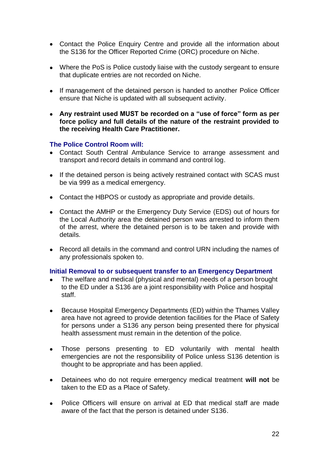- Contact the Police Enquiry Centre and provide all the information about the S136 for the Officer Reported Crime (ORC) procedure on Niche.
- Where the PoS is Police custody liaise with the custody sergeant to ensure that duplicate entries are not recorded on Niche.
- If management of the detained person is handed to another Police Officer ensure that Niche is updated with all subsequent activity.
- **Any restraint used MUST be recorded on a "use of force" form as per force policy and full details of the nature of the restraint provided to the receiving Health Care Practitioner.**

## **The Police Control Room will:**

- Contact South Central Ambulance Service to arrange assessment and transport and record details in command and control log.
- If the detained person is being actively restrained contact with SCAS must be via 999 as a medical emergency.
- Contact the HBPOS or custody as appropriate and provide details.
- Contact the AMHP or the Emergency Duty Service (EDS) out of hours for the Local Authority area the detained person was arrested to inform them of the arrest, where the detained person is to be taken and provide with details.
- Record all details in the command and control URN including the names of any professionals spoken to.

#### **Initial Removal to or subsequent transfer to an Emergency Department**

- The welfare and medical (physical and mental) needs of a person brought to the ED under a S136 are a joint responsibility with Police and hospital staff.
- Because Hospital Emergency Departments (ED) within the Thames Valley  $\bullet$ area have not agreed to provide detention facilities for the Place of Safety for persons under a S136 any person being presented there for physical health assessment must remain in the detention of the police.
- Those persons presenting to ED voluntarily with mental health  $\bullet$ emergencies are not the responsibility of Police unless S136 detention is thought to be appropriate and has been applied.
- Detainees who do not require emergency medical treatment **will not** be  $\bullet$ taken to the ED as a Place of Safety.
- Police Officers will ensure on arrival at ED that medical staff are made aware of the fact that the person is detained under S136.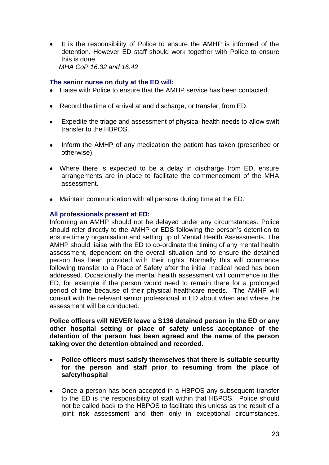It is the responsibility of Police to ensure the AMHP is informed of the detention. However ED staff should work together with Police to ensure this is done.  *MHA CoP 16.32 and 16.42*

## **The senior nurse on duty at the ED will:**

- Liaise with Police to ensure that the AMHP service has been contacted.
- Record the time of arrival at and discharge, or transfer, from ED.
- Expedite the triage and assessment of physical health needs to allow swift  $\bullet$ transfer to the HBPOS.
- Inform the AMHP of any medication the patient has taken (prescribed or  $\bullet$ otherwise).
- Where there is expected to be a delay in discharge from ED, ensure arrangements are in place to facilitate the commencement of the MHA assessment.
- Maintain communication with all persons during time at the ED.

## **All professionals present at ED:**

Informing an AMHP should not be delayed under any circumstances. Police should refer directly to the AMHP or EDS following the person's detention to ensure timely organisation and setting up of Mental Health Assessments. The AMHP should liaise with the ED to co-ordinate the timing of any mental health assessment, dependent on the overall situation and to ensure the detained person has been provided with their rights. Normally this will commence following transfer to a Place of Safety after the initial medical need has been addressed. Occasionally the mental health assessment will commence in the ED, for example if the person would need to remain there for a prolonged period of time because of their physical healthcare needs. The AMHP will consult with the relevant senior professional in ED about when and where the assessment will be conducted.

**Police officers will NEVER leave a S136 detained person in the ED or any other hospital setting or place of safety unless acceptance of the detention of the person has been agreed and the name of the person taking over the detention obtained and recorded.** 

- $\bullet$ **Police officers must satisfy themselves that there is suitable security for the person and staff prior to resuming from the place of safety/hospital**
- Once a person has been accepted in a HBPOS any subsequent transfer  $\bullet$ to the ED is the responsibility of staff within that HBPOS. Police should not be called back to the HBPOS to facilitate this unless as the result of a joint risk assessment and then only in exceptional circumstances.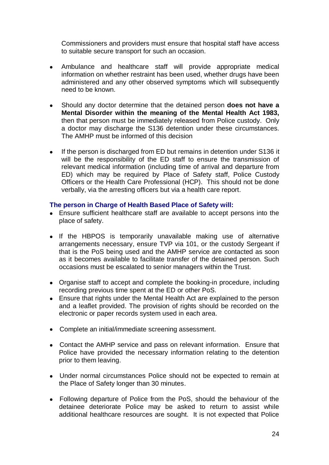Commissioners and providers must ensure that hospital staff have access to suitable secure transport for such an occasion.

- $\bullet$ Ambulance and healthcare staff will provide appropriate medical information on whether restraint has been used, whether drugs have been administered and any other observed symptoms which will subsequently need to be known.
- Should any doctor determine that the detained person **does not have a Mental Disorder within the meaning of the Mental Health Act 1983,** then that person must be immediately released from Police custody. Only a doctor may discharge the S136 detention under these circumstances. The AMHP must be informed of this decision
- If the person is discharged from ED but remains in detention under S136 it  $\bullet$ will be the responsibility of the ED staff to ensure the transmission of relevant medical information (including time of arrival and departure from ED) which may be required by Place of Safety staff, Police Custody Officers or the Health Care Professional (HCP). This should not be done verbally, via the arresting officers but via a health care report.

## **The person in Charge of Health Based Place of Safety will:**

- Ensure sufficient healthcare staff are available to accept persons into the place of safety.
- If the HBPOS is temporarily unavailable making use of alternative arrangements necessary, ensure TVP via 101, or the custody Sergeant if that is the PoS being used and the AMHP service are contacted as soon as it becomes available to facilitate transfer of the detained person. Such occasions must be escalated to senior managers within the Trust.
- Organise staff to accept and complete the booking-in procedure, including recording previous time spent at the ED or other PoS.
- Ensure that rights under the Mental Health Act are explained to the person and a leaflet provided. The provision of rights should be recorded on the electronic or paper records system used in each area.
- Complete an initial/immediate screening assessment.
- Contact the AMHP service and pass on relevant information. Ensure that Police have provided the necessary information relating to the detention prior to them leaving.
- Under normal circumstances Police should not be expected to remain at the Place of Safety longer than 30 minutes.
- Following departure of Police from the PoS, should the behaviour of the detainee deteriorate Police may be asked to return to assist while additional healthcare resources are sought. It is not expected that Police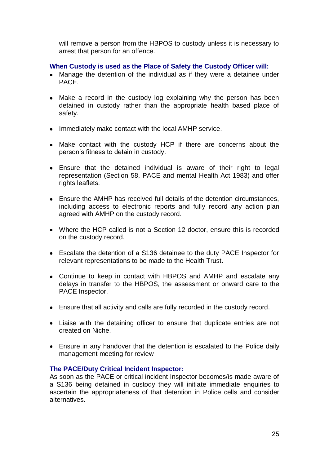will remove a person from the HBPOS to custody unless it is necessary to arrest that person for an offence.

## **When Custody is used as the Place of Safety the Custody Officer will:**

- Manage the detention of the individual as if they were a detainee under PACE.
- Make a record in the custody log explaining why the person has been detained in custody rather than the appropriate health based place of safety.
- Immediately make contact with the local AMHP service.
- Make contact with the custody HCP if there are concerns about the person's fitness to detain in custody.
- Ensure that the detained individual is aware of their right to legal representation (Section 58, PACE and mental Health Act 1983) and offer rights leaflets.
- Ensure the AMHP has received full details of the detention circumstances, including access to electronic reports and fully record any action plan agreed with AMHP on the custody record.
- Where the HCP called is not a Section 12 doctor, ensure this is recorded on the custody record.
- Escalate the detention of a S136 detainee to the duty PACE Inspector for relevant representations to be made to the Health Trust.
- Continue to keep in contact with HBPOS and AMHP and escalate any delays in transfer to the HBPOS, the assessment or onward care to the PACE Inspector.
- Ensure that all activity and calls are fully recorded in the custody record.
- Liaise with the detaining officer to ensure that duplicate entries are not created on Niche.
- Ensure in any handover that the detention is escalated to the Police daily management meeting for review

## **The PACE/Duty Critical Incident Inspector:**

As soon as the PACE or critical incident Inspector becomes/is made aware of a S136 being detained in custody they will initiate immediate enquiries to ascertain the appropriateness of that detention in Police cells and consider alternatives.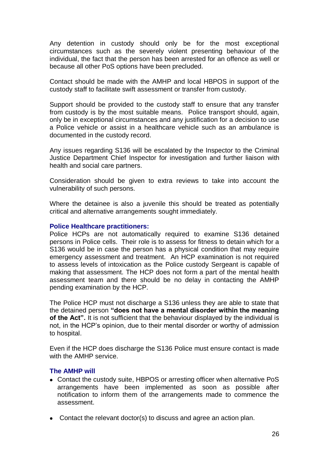Any detention in custody should only be for the most exceptional circumstances such as the severely violent presenting behaviour of the individual, the fact that the person has been arrested for an offence as well or because all other PoS options have been precluded.

Contact should be made with the AMHP and local HBPOS in support of the custody staff to facilitate swift assessment or transfer from custody.

Support should be provided to the custody staff to ensure that any transfer from custody is by the most suitable means. Police transport should, again, only be in exceptional circumstances and any justification for a decision to use a Police vehicle or assist in a healthcare vehicle such as an ambulance is documented in the custody record.

Any issues regarding S136 will be escalated by the Inspector to the Criminal Justice Department Chief Inspector for investigation and further liaison with health and social care partners.

Consideration should be given to extra reviews to take into account the vulnerability of such persons.

Where the detainee is also a juvenile this should be treated as potentially critical and alternative arrangements sought immediately.

#### **Police Healthcare practitioners:**

Police HCPs are not automatically required to examine S136 detained persons in Police cells. Their role is to assess for fitness to detain which for a S136 would be in case the person has a physical condition that may require emergency assessment and treatment. An HCP examination is not required to assess levels of intoxication as the Police custody Sergeant is capable of making that assessment. The HCP does not form a part of the mental health assessment team and there should be no delay in contacting the AMHP pending examination by the HCP.

The Police HCP must not discharge a S136 unless they are able to state that the detained person **"does not have a mental disorder within the meaning of the Act".** It is not sufficient that the behaviour displayed by the individual is not, in the HCP's opinion, due to their mental disorder or worthy of admission to hospital.

Even if the HCP does discharge the S136 Police must ensure contact is made with the AMHP service.

#### **The AMHP will**

- Contact the custody suite, HBPOS or arresting officer when alternative PoS arrangements have been implemented as soon as possible after notification to inform them of the arrangements made to commence the assessment.
- Contact the relevant doctor(s) to discuss and agree an action plan.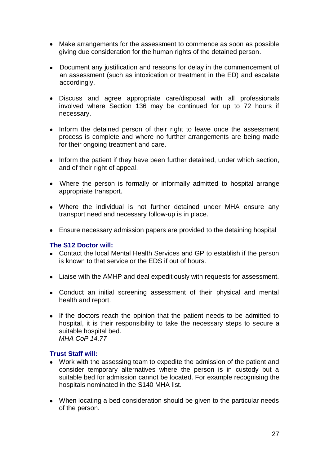- Make arrangements for the assessment to commence as soon as possible giving due consideration for the human rights of the detained person.
- Document any justification and reasons for delay in the commencement of an assessment (such as intoxication or treatment in the ED) and escalate accordingly.
- Discuss and agree appropriate care/disposal with all professionals involved where Section 136 may be continued for up to 72 hours if necessary.
- Inform the detained person of their right to leave once the assessment process is complete and where no further arrangements are being made for their ongoing treatment and care.
- Inform the patient if they have been further detained, under which section, and of their right of appeal.
- Where the person is formally or informally admitted to hospital arrange appropriate transport.
- Where the individual is not further detained under MHA ensure any transport need and necessary follow-up is in place.
- Ensure necessary admission papers are provided to the detaining hospital

## **The S12 Doctor will:**

- Contact the local Mental Health Services and GP to establish if the person is known to that service or the EDS if out of hours.
- Liaise with the AMHP and deal expeditiously with requests for assessment.
- Conduct an initial screening assessment of their physical and mental health and report.
- If the doctors reach the opinion that the patient needs to be admitted to hospital, it is their responsibility to take the necessary steps to secure a suitable hospital bed.  *MHA CoP 14.77*

## **Trust Staff will:**

- Work with the assessing team to expedite the admission of the patient and consider temporary alternatives where the person is in custody but a suitable bed for admission cannot be located. For example recognising the hospitals nominated in the S140 MHA list.
- When locating a bed consideration should be given to the particular needs of the person.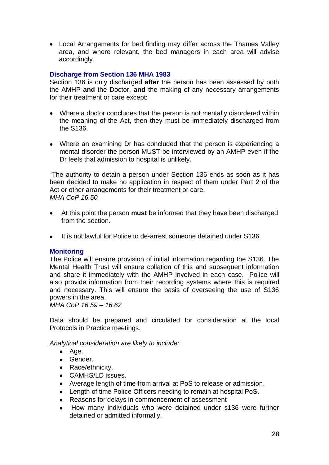Local Arrangements for bed finding may differ across the Thames Valley area, and where relevant, the bed managers in each area will advise accordingly.

## **Discharge from Section 136 MHA 1983**

Section 136 is only discharged **after** the person has been assessed by both the AMHP **and** the Doctor, **and** the making of any necessary arrangements for their treatment or care except:

- Where a doctor concludes that the person is not mentally disordered within the meaning of the Act, then they must be immediately discharged from the S136.
- Where an examining Dr has concluded that the person is experiencing a mental disorder the person MUST be interviewed by an AMHP even if the Dr feels that admission to hospital is unlikely.

―The authority to detain a person under Section 136 ends as soon as it has been decided to make no application in respect of them under Part 2 of the Act or other arrangements for their treatment or care. *MHA CoP 16.50*

- At this point the person **must** be informed that they have been discharged  $\bullet$ from the section.
- It is not lawful for Police to de-arrest someone detained under S136.

#### **Monitoring**

The Police will ensure provision of initial information regarding the S136. The Mental Health Trust will ensure collation of this and subsequent information and share it immediately with the AMHP involved in each case. Police will also provide information from their recording systems where this is required and necessary. This will ensure the basis of overseeing the use of S136 powers in the area.

*MHA CoP 16.59 – 16.62*

Data should be prepared and circulated for consideration at the local Protocols in Practice meetings.

*Analytical consideration are likely to include:*

- $\bullet$  Age.
- Gender.
- Race/ethnicity.
- CAMHS/LD issues.
- Average length of time from arrival at PoS to release or admission.
- Length of time Police Officers needing to remain at hospital PoS.
- Reasons for delays in commencement of assessment  $\bullet$
- How many individuals who were detained under s136 were further detained or admitted informally.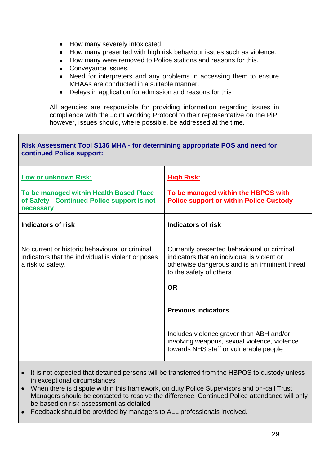- How many severely intoxicated.  $\bullet$
- How many presented with high risk behaviour issues such as violence.  $\bullet$
- How many were removed to Police stations and reasons for this.  $\bullet$
- Conveyance issues.  $\bullet$
- Need for interpreters and any problems in accessing them to ensure  $\bullet$ MHAAs are conducted in a suitable manner.
- Delays in application for admission and reasons for this  $\bullet$

All agencies are responsible for providing information regarding issues in compliance with the Joint Working Protocol to their representative on the PiP, however, issues should, where possible, be addressed at the time.

| Risk Assessment Tool S136 MHA - for determining appropriate POS and need for<br>continued Police support:                 |                                                                                                                                                                        |  |  |
|---------------------------------------------------------------------------------------------------------------------------|------------------------------------------------------------------------------------------------------------------------------------------------------------------------|--|--|
| <b>Low or unknown Risk:</b>                                                                                               | <b>High Risk:</b>                                                                                                                                                      |  |  |
| To be managed within Health Based Place<br>of Safety - Continued Police support is not<br>necessary                       | To be managed within the HBPOS with<br><b>Police support or within Police Custody</b>                                                                                  |  |  |
| <b>Indicators of risk</b>                                                                                                 | <b>Indicators of risk</b>                                                                                                                                              |  |  |
| No current or historic behavioural or criminal<br>indicators that the individual is violent or poses<br>a risk to safety. | Currently presented behavioural or criminal<br>indicators that an individual is violent or<br>otherwise dangerous and is an imminent threat<br>to the safety of others |  |  |
|                                                                                                                           | <b>OR</b>                                                                                                                                                              |  |  |
|                                                                                                                           | <b>Previous indicators</b>                                                                                                                                             |  |  |
|                                                                                                                           | Includes violence graver than ABH and/or<br>involving weapons, sexual violence, violence<br>towards NHS staff or vulnerable people                                     |  |  |

- It is not expected that detained persons will be transferred from the HBPOS to custody unless in exceptional circumstances
- When there is dispute within this framework, on duty Police Supervisors and on-call Trust Managers should be contacted to resolve the difference. Continued Police attendance will only be based on risk assessment as detailed
- Feedback should be provided by managers to ALL professionals involved.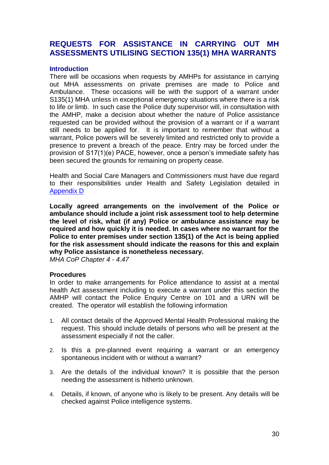## <span id="page-29-0"></span>**REQUESTS FOR ASSISTANCE IN CARRYING OUT MH ASSESSMENTS UTILISING SECTION 135(1) MHA WARRANTS**

#### **Introduction**

There will be occasions when requests by AMHPs for assistance in carrying out MHA assessments on private premises are made to Police and Ambulance. These occasions will be with the support of a warrant under S135(1) MHA unless in exceptional emergency situations where there is a risk to life or limb. In such case the Police duty supervisor will, in consultation with the AMHP, make a decision about whether the nature of Police assistance requested can be provided without the provision of a warrant or if a warrant still needs to be applied for. It is important to remember that without a warrant, Police powers will be severely limited and restricted only to provide a presence to prevent a breach of the peace. Entry may be forced under the provision of S17(1)(e) PACE, however, once a person's immediate safety has been secured the grounds for remaining on property cease.

Health and Social Care Managers and Commissioners must have due regard to their responsibilities under Health and Safety Legislation detailed in [Appendix D](#page-70-0)

**Locally agreed arrangements on the involvement of the Police or ambulance should include a joint risk assessment tool to help determine the level of risk, what (if any) Police or ambulance assistance may be required and how quickly it is needed. In cases where no warrant for the Police to enter premises under section 135(1) of the Act is being applied for the risk assessment should indicate the reasons for this and explain why Police assistance is nonetheless necessary.** *MHA CoP Chapter 4 - 4.47*

#### **Procedures**

In order to make arrangements for Police attendance to assist at a mental health Act assessment including to execute a warrant under this section the AMHP will contact the Police Enquiry Centre on 101 and a URN will be created. The operator will establish the following information

- 1. All contact details of the Approved Mental Health Professional making the request. This should include details of persons who will be present at the assessment especially if not the caller.
- 2. Is this a pre-planned event requiring a warrant or an emergency spontaneous incident with or without a warrant?
- 3. Are the details of the individual known? It is possible that the person needing the assessment is hitherto unknown.
- 4. Details, if known, of anyone who is likely to be present. Any details will be checked against Police intelligence systems.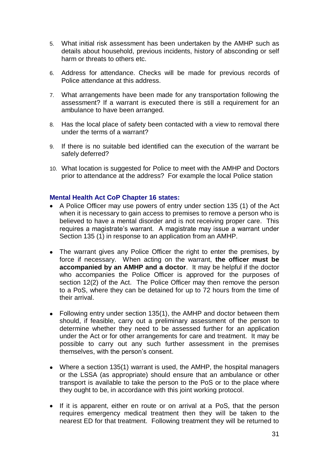- 5. What initial risk assessment has been undertaken by the AMHP such as details about household, previous incidents, history of absconding or self harm or threats to others etc.
- 6. Address for attendance. Checks will be made for previous records of Police attendance at this address.
- 7. What arrangements have been made for any transportation following the assessment? If a warrant is executed there is still a requirement for an ambulance to have been arranged.
- 8. Has the local place of safety been contacted with a view to removal there under the terms of a warrant?
- 9. If there is no suitable bed identified can the execution of the warrant be safely deferred?
- 10. What location is suggested for Police to meet with the AMHP and Doctors prior to attendance at the address? For example the local Police station

#### **Mental Health Act CoP Chapter 16 states:**

- A Police Officer may use powers of entry under section 135 (1) of the Act when it is necessary to gain access to premises to remove a person who is believed to have a mental disorder and is not receiving proper care. This requires a magistrate's warrant. A magistrate may issue a warrant under Section 135 (1) in response to an application from an AMHP.
- The warrant gives any Police Officer the right to enter the premises, by force if necessary. When acting on the warrant, **the officer must be accompanied by an AMHP and a doctor**. It may be helpful if the doctor who accompanies the Police Officer is approved for the purposes of section 12(2) of the Act. The Police Officer may then remove the person to a PoS, where they can be detained for up to 72 hours from the time of their arrival.
- Following entry under section 135(1), the AMHP and doctor between them should, if feasible, carry out a preliminary assessment of the person to determine whether they need to be assessed further for an application under the Act or for other arrangements for care and treatment. It may be possible to carry out any such further assessment in the premises themselves, with the person's consent.
- Where a section 135(1) warrant is used, the AMHP, the hospital managers or the LSSA (as appropriate) should ensure that an ambulance or other transport is available to take the person to the PoS or to the place where they ought to be, in accordance with this joint working protocol.
- If it is apparent, either en route or on arrival at a PoS, that the person requires emergency medical treatment then they will be taken to the nearest ED for that treatment. Following treatment they will be returned to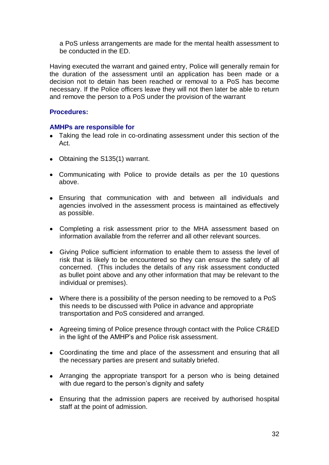a PoS unless arrangements are made for the mental health assessment to be conducted in the ED.

Having executed the warrant and gained entry, Police will generally remain for the duration of the assessment until an application has been made or a decision not to detain has been reached or removal to a PoS has become necessary. If the Police officers leave they will not then later be able to return and remove the person to a PoS under the provision of the warrant

## **Procedures:**

## **AMHPs are responsible for**

- Taking the lead role in co-ordinating assessment under this section of the Act.
- Obtaining the S135(1) warrant.
- Communicating with Police to provide details as per the 10 questions above.
- Ensuring that communication with and between all individuals and agencies involved in the assessment process is maintained as effectively as possible.
- Completing a risk assessment prior to the MHA assessment based on information available from the referrer and all other relevant sources.
- Giving Police sufficient information to enable them to assess the level of risk that is likely to be encountered so they can ensure the safety of all concerned. (This includes the details of any risk assessment conducted as bullet point above and any other information that may be relevant to the individual or premises).
- Where there is a possibility of the person needing to be removed to a PoS this needs to be discussed with Police in advance and appropriate transportation and PoS considered and arranged.
- Agreeing timing of Police presence through contact with the Police CR&ED in the light of the AMHP's and Police risk assessment.
- Coordinating the time and place of the assessment and ensuring that all the necessary parties are present and suitably briefed.
- Arranging the appropriate transport for a person who is being detained with due regard to the person's dignity and safety
- Ensuring that the admission papers are received by authorised hospital staff at the point of admission.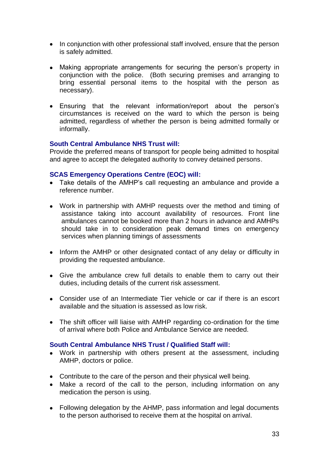- In conjunction with other professional staff involved, ensure that the person is safely admitted.
- Making appropriate arrangements for securing the person's property in conjunction with the police. (Both securing premises and arranging to bring essential personal items to the hospital with the person as necessary).
- Ensuring that the relevant information/report about the person's circumstances is received on the ward to which the person is being admitted, regardless of whether the person is being admitted formally or informally.

## **South Central Ambulance NHS Trust will:**

Provide the preferred means of transport for people being admitted to hospital and agree to accept the delegated authority to convey detained persons.

## **SCAS Emergency Operations Centre (EOC) will:**

- Take details of the AMHP's call requesting an ambulance and provide a reference number.
- Work in partnership with AMHP requests over the method and timing of assistance taking into account availability of resources. Front line ambulances cannot be booked more than 2 hours in advance and AMHPs should take in to consideration peak demand times on emergency services when planning timings of assessments
- Inform the AMHP or other designated contact of any delay or difficulty in providing the requested ambulance.
- Give the ambulance crew full details to enable them to carry out their duties, including details of the current risk assessment.
- Consider use of an Intermediate Tier vehicle or car if there is an escort available and the situation is assessed as low risk.
- The shift officer will liaise with AMHP regarding co-ordination for the time of arrival where both Police and Ambulance Service are needed.

## **South Central Ambulance NHS Trust / Qualified Staff will:**

- Work in partnership with others present at the assessment, including AMHP, doctors or police.
- Contribute to the care of the person and their physical well being.
- Make a record of the call to the person, including information on any medication the person is using.
- Following delegation by the AHMP, pass information and legal documents to the person authorised to receive them at the hospital on arrival.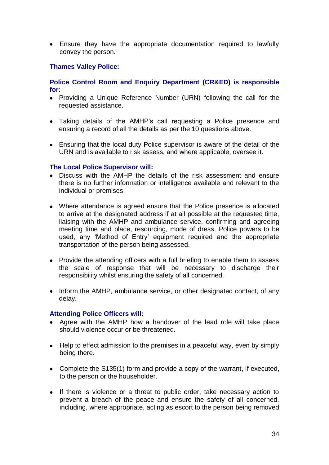Ensure they have the appropriate documentation required to lawfully convey the person.

## **Thames Valley Police:**

## **Police Control Room and Enquiry Department (CR&ED) is responsible for:**

- Providing a Unique Reference Number (URN) following the call for the requested assistance.
- Taking details of the AMHP's call requesting a Police presence and ensuring a record of all the details as per the 10 questions above.
- Ensuring that the local duty Police supervisor is aware of the detail of the URN and is available to risk assess, and where applicable, oversee it.

## **The Local Police Supervisor will:**

- Discuss with the AMHP the details of the risk assessment and ensure there is no further information or intelligence available and relevant to the individual or premises.
- Where attendance is agreed ensure that the Police presence is allocated to arrive at the designated address if at all possible at the requested time, liaising with the AMHP and ambulance service, confirming and agreeing meeting time and place, resourcing, mode of dress, Police powers to be used, any 'Method of Entry' equipment required and the appropriate transportation of the person being assessed.
- Provide the attending officers with a full briefing to enable them to assess the scale of response that will be necessary to discharge their responsibility whilst ensuring the safety of all concerned.
- Inform the AMHP, ambulance service, or other designated contact, of any delay.

#### **Attending Police Officers will:**

- Agree with the AMHP how a handover of the lead role will take place should violence occur or be threatened.
- Help to effect admission to the premises in a peaceful way, even by simply being there.
- Complete the S135(1) form and provide a copy of the warrant, if executed, to the person or the householder.
- If there is violence or a threat to public order, take necessary action to prevent a breach of the peace and ensure the safety of all concerned, including, where appropriate, acting as escort to the person being removed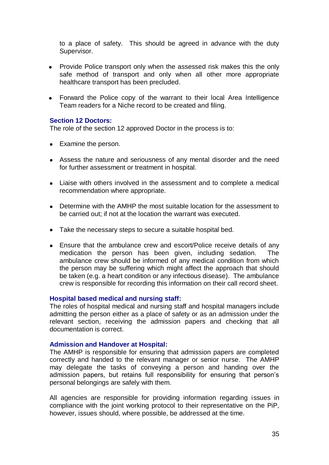to a place of safety. This should be agreed in advance with the duty Supervisor.

- Provide Police transport only when the assessed risk makes this the only safe method of transport and only when all other more appropriate healthcare transport has been precluded.
- Forward the Police copy of the warrant to their local Area Intelligence Team readers for a Niche record to be created and filing.

#### **Section 12 Doctors:**

The role of the section 12 approved Doctor in the process is to:

- Examine the person.
- Assess the nature and seriousness of any mental disorder and the need for further assessment or treatment in hospital.
- Liaise with others involved in the assessment and to complete a medical recommendation where appropriate.
- Determine with the AMHP the most suitable location for the assessment to be carried out; if not at the location the warrant was executed.
- Take the necessary steps to secure a suitable hospital bed.
- Ensure that the ambulance crew and escort/Police receive details of any medication the person has been given, including sedation. The ambulance crew should be informed of any medical condition from which the person may be suffering which might affect the approach that should be taken (e.g. a heart condition or any infectious disease). The ambulance crew is responsible for recording this information on their call record sheet.

#### **Hospital based medical and nursing staff:**

The roles of hospital medical and nursing staff and hospital managers include admitting the person either as a place of safety or as an admission under the relevant section, receiving the admission papers and checking that all documentation is correct.

#### **Admission and Handover at Hospital:**

The AMHP is responsible for ensuring that admission papers are completed correctly and handed to the relevant manager or senior nurse. The AMHP may delegate the tasks of conveying a person and handing over the admission papers, but retains full responsibility for ensuring that person's personal belongings are safely with them.

All agencies are responsible for providing information regarding issues in compliance with the joint working protocol to their representative on the PiP, however, issues should, where possible, be addressed at the time.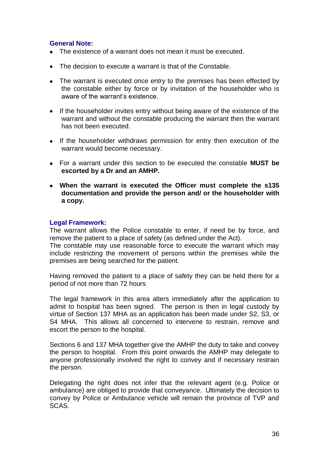## **General Note:**

- The existence of a warrant does not mean it must be executed.
- The decision to execute a warrant is that of the Constable.
- The warrant is executed once entry to the premises has been effected by the constable either by force or by invitation of the householder who is aware of the warrant's existence.
- If the householder invites entry without being aware of the existence of the warrant and without the constable producing the warrant then the warrant has not been executed.
- If the householder withdraws permission for entry then execution of the warrant would become necessary.
- For a warrant under this section to be executed the constable **MUST be escorted by a Dr and an AMHP.**
- **When the warrant is executed the Officer must complete the s135 documentation and provide the person and/ or the householder with a copy.**

## **Legal Framework:**

The warrant allows the Police constable to enter, if need be by force, and remove the patient to a place of safety (as defined under the Act).

The constable may use reasonable force to execute the warrant which may include restricting the movement of persons within the premises while the premises are being searched for the patient.

Having removed the patient to a place of safety they can be held there for a period of not more than 72 hours

The legal framework in this area alters immediately after the application to admit to hospital has been signed. The person is then in legal custody by virtue of Section 137 MHA as an application has been made under S2, S3, or S4 MHA. This allows all concerned to intervene to restrain, remove and escort the person to the hospital.

Sections 6 and 137 MHA together give the AMHP the duty to take and convey the person to hospital. From this point onwards the AMHP may delegate to anyone professionally involved the right to convey and if necessary restrain the person.

Delegating the right does not infer that the relevant agent (e.g. Police or ambulance) are obliged to provide that conveyance. Ultimately the decision to convey by Police or Ambulance vehicle will remain the province of TVP and SCAS.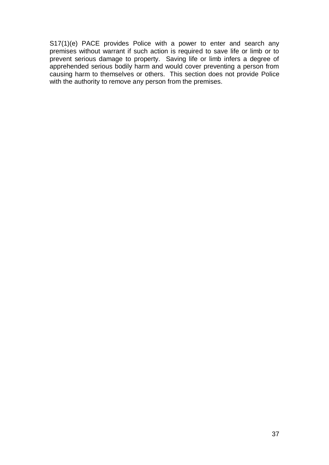S17(1)(e) PACE provides Police with a power to enter and search any premises without warrant if such action is required to save life or limb or to prevent serious damage to property. Saving life or limb infers a degree of apprehended serious bodily harm and would cover preventing a person from causing harm to themselves or others. This section does not provide Police with the authority to remove any person from the premises.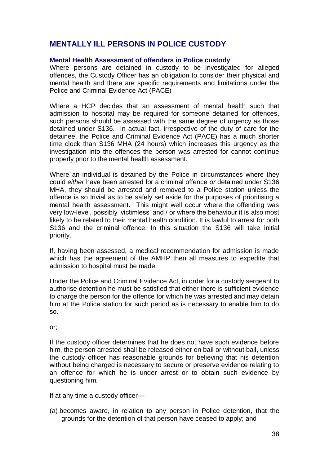## <span id="page-37-0"></span>**MENTALLY ILL PERSONS IN POLICE CUSTODY**

#### **Mental Health Assessment of offenders in Police custody**

Where persons are detained in custody to be investigated for alleged offences, the Custody Officer has an obligation to consider their physical and mental health and there are specific requirements and limitations under the Police and Criminal Evidence Act (PACE)

Where a HCP decides that an assessment of mental health such that admission to hospital may be required for someone detained for offences, such persons should be assessed with the same degree of urgency as those detained under S136. In actual fact, irrespective of the duty of care for the detainee, the Police and Criminal Evidence Act (PACE) has a much shorter time clock than S136 MHA (24 hours) which increases this urgency as the investigation into the offences the person was arrested for cannot continue properly prior to the mental health assessment.

Where an individual is detained by the Police in circumstances where they could *either* have been arrested for a criminal offence *or* detained under S136 MHA, they should be arrested and removed to a Police station unless the offence is so trivial as to be safely set aside for the purposes of prioritising a mental health assessment. This might well occur where the offending was very low-level, possibly 'victimless' and / or where the behaviour it is also most likely to be related to their mental health condition. It is lawful to arrest for both S136 and the criminal offence. In this situation the S136 will take initial priority.

If, having been assessed, a medical recommendation for admission is made which has the agreement of the AMHP then all measures to expedite that admission to hospital must be made.

Under the Police and Criminal Evidence Act, in order for a custody sergeant to authorise detention he must be satisfied that either there is sufficient evidence to charge the person for the offence for which he was arrested and may detain him at the Police station for such period as is necessary to enable him to do so.

or;

If the custody officer determines that he does not have such evidence before him, the person arrested shall be released either on bail or without bail, unless the custody officer has reasonable grounds for believing that his detention without being charged is necessary to secure or preserve evidence relating to an offence for which he is under arrest or to obtain such evidence by questioning him.

If at any time a custody officer—

(a) becomes aware, in relation to any person in Police detention, that the grounds for the detention of that person have ceased to apply; and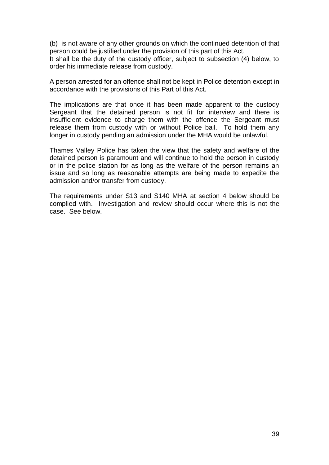(b) is not aware of any other grounds on which the continued detention of that person could be justified under the provision of this part of this Act,

It shall be the duty of the custody officer, subject to subsection (4) below, to order his immediate release from custody.

A person arrested for an offence shall not be kept in Police detention except in accordance with the provisions of this Part of this Act.

The implications are that once it has been made apparent to the custody Sergeant that the detained person is not fit for interview and there is insufficient evidence to charge them with the offence the Sergeant must release them from custody with or without Police bail. To hold them any longer in custody pending an admission under the MHA would be unlawful.

Thames Valley Police has taken the view that the safety and welfare of the detained person is paramount and will continue to hold the person in custody or in the police station for as long as the welfare of the person remains an issue and so long as reasonable attempts are being made to expedite the admission and/or transfer from custody.

The requirements under S13 and S140 MHA at section 4 below should be complied with. Investigation and review should occur where this is not the case. See below.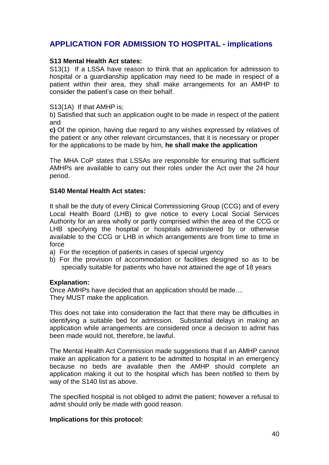## <span id="page-39-0"></span>**APPLICATION FOR ADMISSION TO HOSPITAL - implications**

#### **S13 Mental Health Act states:**

S13(1) If a LSSA have reason to think that an application for admission to hospital or a guardianship application may need to be made in respect of a patient within their area, they shall make arrangements for an AMHP to consider the patient's case on their behalf.

#### S13(1A) If that AMHP is;

b) Satisfied that such an application ought to be made in respect of the patient and

**c)** Of the opinion, having due regard to any wishes expressed by relatives of the patient or any other relevant circumstances, that it is necessary or proper for the applications to be made by him, **he shall make the application**

The MHA CoP states that LSSAs are responsible for ensuring that sufficient AMHPs are available to carry out their roles under the Act over the 24 hour period.

#### **S140 Mental Health Act states:**

It shall be the duty of every Clinical Commissioning Group (CCG) and of every Local Health Board (LHB) to give notice to every Local Social Services Authority for an area wholly or partly comprised within the area of the CCG or LHB specifying the hospital or hospitals administered by or otherwise available to the CCG or LHB in which arrangements are from time to time in force

a) For the reception of patients in cases of special urgency

b) For the provision of accommodation or facilities designed so as to be specially suitable for patients who have not attained the age of 18 years

## **Explanation:**

Once AMHPs have decided that an application should be made.... They MUST make the application.

This does not take into consideration the fact that there may be difficulties in identifying a suitable bed for admission. Substantial delays in making an application while arrangements are considered once a decision to admit has been made would not, therefore, be lawful.

The Mental Health Act Commission made suggestions that if an AMHP cannot make an application for a patient to be admitted to hospital in an emergency because no beds are available then the AMHP should complete an application making it out to the hospital which has been notified to them by way of the S140 list as above.

The specified hospital is not obliged to admit the patient; however a refusal to admit should only be made with good reason.

#### **Implications for this protocol:**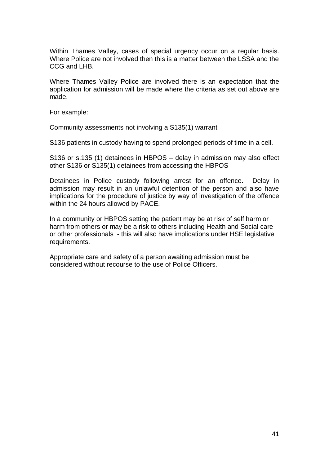Within Thames Valley, cases of special urgency occur on a regular basis. Where Police are not involved then this is a matter between the LSSA and the CCG and LHB.

Where Thames Valley Police are involved there is an expectation that the application for admission will be made where the criteria as set out above are made.

For example:

Community assessments not involving a S135(1) warrant

S136 patients in custody having to spend prolonged periods of time in a cell.

S136 or s.135 (1) detainees in HBPOS – delay in admission may also effect other S136 or S135(1) detainees from accessing the HBPOS

Detainees in Police custody following arrest for an offence. Delay in admission may result in an unlawful detention of the person and also have implications for the procedure of justice by way of investigation of the offence within the 24 hours allowed by PACE.

In a community or HBPOS setting the patient may be at risk of self harm or harm from others or may be a risk to others including Health and Social care or other professionals - this will also have implications under HSE legislative requirements.

Appropriate care and safety of a person awaiting admission must be considered without recourse to the use of Police Officers.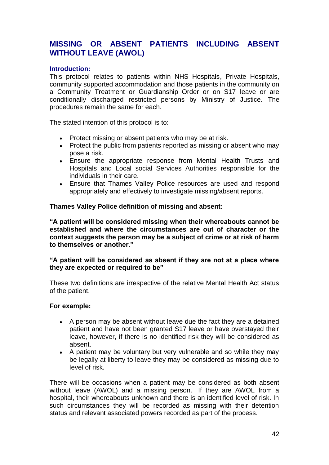## <span id="page-41-0"></span>**MISSING OR ABSENT PATIENTS INCLUDING ABSENT WITHOUT LEAVE (AWOL)**

## **Introduction:**

This protocol relates to patients within NHS Hospitals, Private Hospitals, community supported accommodation and those patients in the community on a Community Treatment or Guardianship Order or on S17 leave or are conditionally discharged restricted persons by Ministry of Justice. The procedures remain the same for each.

The stated intention of this protocol is to:

- Protect missing or absent patients who may be at risk.  $\bullet$
- Protect the public from patients reported as missing or absent who may pose a risk.
- $\bullet$ Ensure the appropriate response from Mental Health Trusts and Hospitals and Local social Services Authorities responsible for the individuals in their care.
- Ensure that Thames Valley Police resources are used and respond appropriately and effectively to investigate missing/absent reports.

## **Thames Valley Police definition of missing and absent:**

**"A patient will be considered missing when their whereabouts cannot be established and where the circumstances are out of character or the context suggests the person may be a subject of crime or at risk of harm to themselves or another."**

## **"A patient will be considered as absent if they are not at a place where they are expected or required to be"**

These two definitions are irrespective of the relative Mental Health Act status of the patient.

#### **For example:**

- A person may be absent without leave due the fact they are a detained  $\bullet$ patient and have not been granted S17 leave or have overstayed their leave, however, if there is no identified risk they will be considered as absent.
- A patient may be voluntary but very vulnerable and so while they may be legally at liberty to leave they may be considered as missing due to level of risk.

There will be occasions when a patient may be considered as both absent without leave (AWOL) and a missing person. If they are AWOL from a hospital, their whereabouts unknown and there is an identified level of risk. In such circumstances they will be recorded as missing with their detention status and relevant associated powers recorded as part of the process.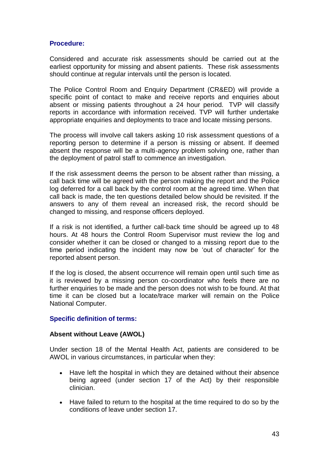## **Procedure:**

Considered and accurate risk assessments should be carried out at the earliest opportunity for missing and absent patients. These risk assessments should continue at regular intervals until the person is located.

The Police Control Room and Enquiry Department (CR&ED) will provide a specific point of contact to make and receive reports and enquiries about absent or missing patients throughout a 24 hour period. TVP will classify reports in accordance with information received. TVP will further undertake appropriate enquiries and deployments to trace and locate missing persons.

The process will involve call takers asking 10 risk assessment questions of a reporting person to determine if a person is missing or absent. If deemed absent the response will be a multi-agency problem solving one, rather than the deployment of patrol staff to commence an investigation.

If the risk assessment deems the person to be absent rather than missing, a call back time will be agreed with the person making the report and the Police log deferred for a call back by the control room at the agreed time. When that call back is made, the ten questions detailed below should be revisited. If the answers to any of them reveal an increased risk, the record should be changed to missing, and response officers deployed.

If a risk is not identified, a further call-back time should be agreed up to 48 hours. At 48 hours the Control Room Supervisor must review the log and consider whether it can be closed or changed to a missing report due to the time period indicating the incident may now be 'out of character' for the reported absent person.

If the log is closed, the absent occurrence will remain open until such time as it is reviewed by a missing person co-coordinator who feels there are no further enquiries to be made and the person does not wish to be found. At that time it can be closed but a locate/trace marker will remain on the Police National Computer.

## **Specific definition of terms:**

## **Absent without Leave (AWOL)**

Under section 18 of the Mental Health Act, patients are considered to be AWOL in various circumstances, in particular when they:

- Have left the hospital in which they are detained without their absence  $\bullet$ being agreed (under section 17 of the Act) by their responsible clinician.
- Have failed to return to the hospital at the time required to do so by the  $\bullet$ conditions of leave under section 17.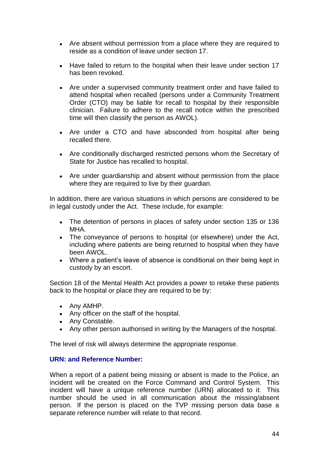- $\bullet$ Are absent without permission from a place where they are required to reside as a condition of leave under section 17.
- Have failed to return to the hospital when their leave under section 17  $\bullet$ has been revoked.
- Are under a supervised community treatment order and have failed to attend hospital when recalled (persons under a Community Treatment Order (CTO) may be liable for recall to hospital by their responsible clinician. Failure to adhere to the recall notice within the prescribed time will then classify the person as AWOL).
- Are under a CTO and have absconded from hospital after being recalled there.
- Are conditionally discharged restricted persons whom the Secretary of State for Justice has recalled to hospital.
- Are under guardianship and absent without permission from the place where they are required to live by their guardian.

In addition, there are various situations in which persons are considered to be in legal custody under the Act. These include, for example:

- The detention of persons in places of safety under section 135 or 136  $\bullet$ MHA.
- The conveyance of persons to hospital (or elsewhere) under the Act, including where patients are being returned to hospital when they have been AWOL.
- Where a patient's leave of absence is conditional on their being kept in custody by an escort.

Section 18 of the Mental Health Act provides a power to retake these patients back to the hospital or place they are required to be by:

- Any AMHP.
- Any officer on the staff of the hospital.
- Any Constable.
- Any other person authorised in writing by the Managers of the hospital.

The level of risk will always determine the appropriate response.

#### **URN: and Reference Number:**

When a report of a patient being missing or absent is made to the Police, an incident will be created on the Force Command and Control System. This incident will have a unique reference number (URN) allocated to it. This number should be used in all communication about the missing/absent person. If the person is placed on the TVP missing person data base a separate reference number will relate to that record.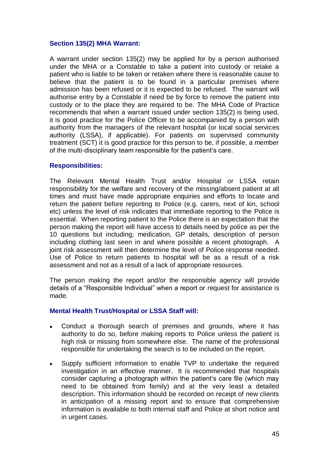## **Section 135(2) MHA Warrant:**

A warrant under section 135(2) may be applied for by a person authorised under the MHA or a Constable to take a patient into custody or retake a patient who is liable to be taken or retaken where there is reasonable cause to believe that the patient is to be found in a particular premises where admission has been refused or it is expected to be refused. The warrant will authorise entry by a Constable if need be by force to remove the patient into custody or to the place they are required to be. The MHA Code of Practice recommends that when a warrant issued under section 135(2) is being used, it is good practice for the Police Officer to be accompanied by a person with authority from the managers of the relevant hospital (or local social services authority (LSSA), if applicable). For patients on supervised community treatment (SCT) it is good practice for this person to be, if possible, a member of the multi-disciplinary team responsible for the patient's care.

#### **Responsibilities:**

The Relevant Mental Health Trust and/or Hospital or LSSA retain responsibility for the welfare and recovery of the missing/absent patient at all times and must have made appropriate enquiries and efforts to locate and return the patient before reporting to Police (e.g. carers, next of kin, school etc) unless the level of risk indicates that immediate reporting to the Police is essential. When reporting patient to the Police there is an expectation that the person making the report will have access to details need by police as per the 10 questions but including; medication, GP details, description of person including clothing last seen in and where possible a recent photograph. A joint risk assessment will then determine the level of Police response needed. Use of Police to return patients to hospital will be as a result of a risk assessment and not as a result of a lack of appropriate resources.

The person making the report and/or the responsible agency will provide details of a "Responsible Individual" when a report or request for assistance is made.

#### **Mental Health Trust/Hospital or LSSA Staff will:**

- Conduct a thorough search of premises and grounds, where it has  $\bullet$ authority to do so, before making reports to Police unless the patient is high risk or missing from somewhere else. The name of the professional responsible for undertaking the search is to be included on the report.
- Supply sufficient information to enable TVP to undertake the required  $\bullet$ investigation in an effective manner. It is recommended that hospitals consider capturing a photograph within the patient's care file (which may need to be obtained from family) and at the very least a detailed description. This information should be recorded on receipt of new clients in anticipation of a missing report and to ensure that comprehensive information is available to both internal staff and Police at short notice and in urgent cases.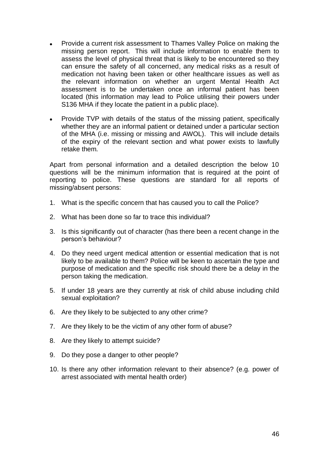- Provide a current risk assessment to Thames Valley Police on making the  $\bullet$ missing person report. This will include information to enable them to assess the level of physical threat that is likely to be encountered so they can ensure the safety of all concerned, any medical risks as a result of medication not having been taken or other healthcare issues as well as the relevant information on whether an urgent Mental Health Act assessment is to be undertaken once an informal patient has been located (this information may lead to Police utilising their powers under S136 MHA if they locate the patient in a public place).
- Provide TVP with details of the status of the missing patient, specifically  $\bullet$ whether they are an informal patient or detained under a particular section of the MHA (i.e. missing or missing and AWOL). This will include details of the expiry of the relevant section and what power exists to lawfully retake them.

Apart from personal information and a detailed description the below 10 questions will be the minimum information that is required at the point of reporting to police. These questions are standard for all reports of missing/absent persons:

- 1. What is the specific concern that has caused you to call the Police?
- 2. What has been done so far to trace this individual?
- 3. Is this significantly out of character (has there been a recent change in the person's behaviour?
- 4. Do they need urgent medical attention or essential medication that is not likely to be available to them? Police will be keen to ascertain the type and purpose of medication and the specific risk should there be a delay in the person taking the medication.
- 5. If under 18 years are they currently at risk of child abuse including child sexual exploitation?
- 6. Are they likely to be subjected to any other crime?
- 7. Are they likely to be the victim of any other form of abuse?
- 8. Are they likely to attempt suicide?
- 9. Do they pose a danger to other people?
- 10. Is there any other information relevant to their absence? (e.g. power of arrest associated with mental health order)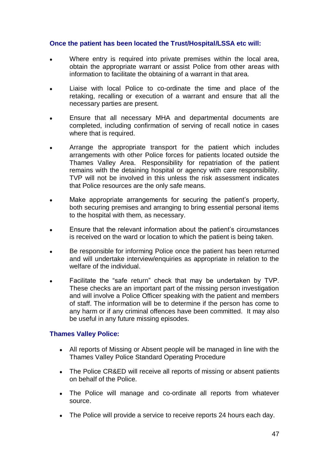## **Once the patient has been located the Trust/Hospital/LSSA etc will:**

- Where entry is required into private premises within the local area, obtain the appropriate warrant or assist Police from other areas with information to facilitate the obtaining of a warrant in that area.
- Liaise with local Police to co-ordinate the time and place of the retaking, recalling or execution of a warrant and ensure that all the necessary parties are present.
- Ensure that all necessary MHA and departmental documents are  $\bullet$ completed, including confirmation of serving of recall notice in cases where that is required.
- Arrange the appropriate transport for the patient which includes arrangements with other Police forces for patients located outside the Thames Valley Area. Responsibility for repatriation of the patient remains with the detaining hospital or agency with care responsibility. TVP will not be involved in this unless the risk assessment indicates that Police resources are the only safe means.
- Make appropriate arrangements for securing the patient's property,  $\bullet$ both securing premises and arranging to bring essential personal items to the hospital with them, as necessary.
- Ensure that the relevant information about the patient's circumstances is received on the ward or location to which the patient is being taken.
- Be responsible for informing Police once the patient has been returned and will undertake interview/enquiries as appropriate in relation to the welfare of the individual.
- Facilitate the "safe return" check that may be undertaken by TVP. These checks are an important part of the missing person investigation and will involve a Police Officer speaking with the patient and members of staff. The information will be to determine if the person has come to any harm or if any criminal offences have been committed. It may also be useful in any future missing episodes.

## **Thames Valley Police:**

- All reports of Missing or Absent people will be managed in line with the  $\bullet$ Thames Valley Police Standard Operating Procedure
- The Police CR&ED will receive all reports of missing or absent patients on behalf of the Police.
- The Police will manage and co-ordinate all reports from whatever source.
- The Police will provide a service to receive reports 24 hours each day.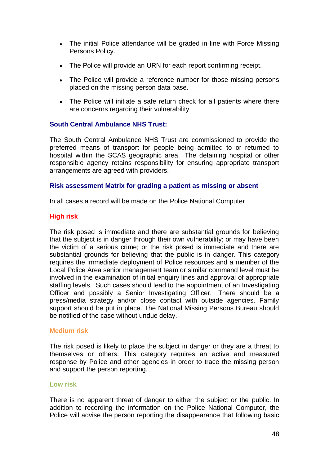- The initial Police attendance will be graded in line with Force Missing Persons Policy.
- The Police will provide an URN for each report confirming receipt.  $\bullet$
- The Police will provide a reference number for those missing persons placed on the missing person data base.
- The Police will initiate a safe return check for all patients where there are concerns regarding their vulnerability

## **South Central Ambulance NHS Trust:**

The South Central Ambulance NHS Trust are commissioned to provide the preferred means of transport for people being admitted to or returned to hospital within the SCAS geographic area. The detaining hospital or other responsible agency retains responsibility for ensuring appropriate transport arrangements are agreed with providers.

#### **Risk assessment Matrix for grading a patient as missing or absent**

In all cases a record will be made on the Police National Computer

## **High risk**

The risk posed is immediate and there are substantial grounds for believing that the subject is in danger through their own vulnerability; or may have been the victim of a serious crime; or the risk posed is immediate and there are substantial grounds for believing that the public is in danger. This category requires the immediate deployment of Police resources and a member of the Local Police Area senior management team or similar command level must be involved in the examination of initial enquiry lines and approval of appropriate staffing levels. Such cases should lead to the appointment of an Investigating Officer and possibly a Senior Investigating Officer. There should be a press/media strategy and/or close contact with outside agencies. Family support should be put in place. The National Missing Persons Bureau should be notified of the case without undue delay.

#### **Medium risk**

The risk posed is likely to place the subject in danger or they are a threat to themselves or others. This category requires an active and measured response by Police and other agencies in order to trace the missing person and support the person reporting.

#### **Low risk**

There is no apparent threat of danger to either the subject or the public. In addition to recording the information on the Police National Computer, the Police will advise the person reporting the disappearance that following basic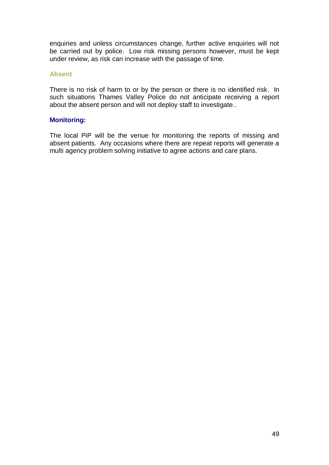enquiries and unless circumstances change, further active enquiries will not be carried out by police. Low risk missing persons however, must be kept under review, as risk can increase with the passage of time.

#### **Absent**

There is no risk of harm to or by the person or there is no identified risk. In such situations Thames Valley Police do not anticipate receiving a report about the absent person and will not deploy staff to investigate..

## **Monitoring:**

The local PiP will be the venue for monitoring the reports of missing and absent patients. Any occasions where there are repeat reports will generate a multi agency problem solving initiative to agree actions and care plans.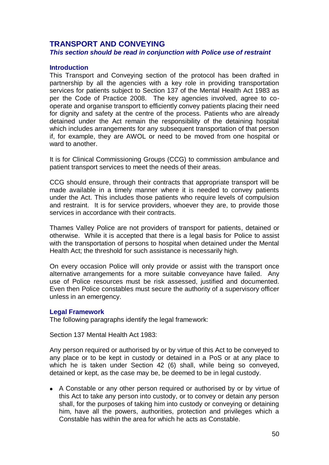## <span id="page-49-0"></span>**TRANSPORT AND CONVEYING**  *This section should be read in conjunction with Police use of restraint*

#### **Introduction**

This Transport and Conveying section of the protocol has been drafted in partnership by all the agencies with a key role in providing transportation services for patients subject to Section 137 of the Mental Health Act 1983 as per the Code of Practice 2008. The key agencies involved, agree to cooperate and organise transport to efficiently convey patients placing their need for dignity and safety at the centre of the process. Patients who are already detained under the Act remain the responsibility of the detaining hospital which includes arrangements for any subsequent transportation of that person if, for example, they are AWOL or need to be moved from one hospital or ward to another.

It is for Clinical Commissioning Groups (CCG) to commission ambulance and patient transport services to meet the needs of their areas.

CCG should ensure, through their contracts that appropriate transport will be made available in a timely manner where it is needed to convey patients under the Act. This includes those patients who require levels of compulsion and restraint. It is for service providers, whoever they are, to provide those services in accordance with their contracts.

Thames Valley Police are not providers of transport for patients, detained or otherwise. While it is accepted that there is a legal basis for Police to assist with the transportation of persons to hospital when detained under the Mental Health Act; the threshold for such assistance is necessarily high.

On every occasion Police will only provide or assist with the transport once alternative arrangements for a more suitable conveyance have failed. Any use of Police resources must be risk assessed, justified and documented. Even then Police constables must secure the authority of a supervisory officer unless in an emergency.

#### **Legal Framework**

The following paragraphs identify the legal framework:

Section 137 Mental Health Act 1983:

Any person required or authorised by or by virtue of this Act to be conveyed to any place or to be kept in custody or detained in a PoS or at any place to which he is taken under Section 42 (6) shall, while being so conveyed, detained or kept, as the case may be, be deemed to be in legal custody.

A Constable or any other person required or authorised by or by virtue of this Act to take any person into custody, or to convey or detain any person shall, for the purposes of taking him into custody or conveying or detaining him, have all the powers, authorities, protection and privileges which a Constable has within the area for which he acts as Constable.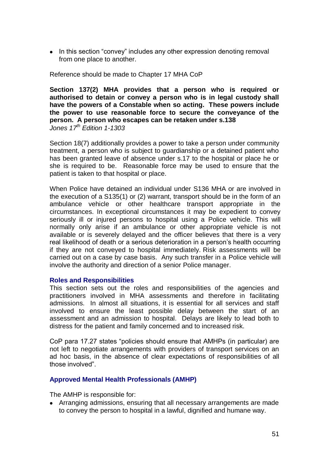• In this section "convey" includes any other expression denoting removal from one place to another.

Reference should be made to Chapter 17 MHA CoP

**Section 137(2) MHA provides that a person who is required or authorised to detain or convey a person who is in legal custody shall have the powers of a Constable when so acting. These powers include the power to use reasonable force to secure the conveyance of the person. A person who escapes can be retaken under s.138** *Jones 17 th Edition 1-1303*

Section 18(7) additionally provides a power to take a person under community treatment, a person who is subject to guardianship or a detained patient who has been granted leave of absence under s.17 to the hospital or place he or she is required to be. Reasonable force may be used to ensure that the patient is taken to that hospital or place.

When Police have detained an individual under S136 MHA or are involved in the execution of a S135(1) or (2) warrant, transport should be in the form of an ambulance vehicle or other healthcare transport appropriate in the circumstances. In exceptional circumstances it may be expedient to convey seriously ill or injured persons to hospital using a Police vehicle. This will normally only arise if an ambulance or other appropriate vehicle is not available or is severely delayed and the officer believes that there is a very real likelihood of death or a serious deterioration in a person's health occurring if they are not conveyed to hospital immediately. Risk assessments will be carried out on a case by case basis. Any such transfer in a Police vehicle will involve the authority and direction of a senior Police manager.

#### **Roles and Responsibilities**

This section sets out the roles and responsibilities of the agencies and practitioners involved in MHA assessments and therefore in facilitating admissions. In almost all situations, it is essential for all services and staff involved to ensure the least possible delay between the start of an assessment and an admission to hospital. Delays are likely to lead both to distress for the patient and family concerned and to increased risk.

CoP para 17.27 states "policies should ensure that AMHPs (in particular) are not left to negotiate arrangements with providers of transport services on an ad hoc basis, in the absence of clear expectations of responsibilities of all those involved".

## **Approved Mental Health Professionals (AMHP)**

The AMHP is responsible for:

Arranging admissions, ensuring that all necessary arrangements are made to convey the person to hospital in a lawful, dignified and humane way.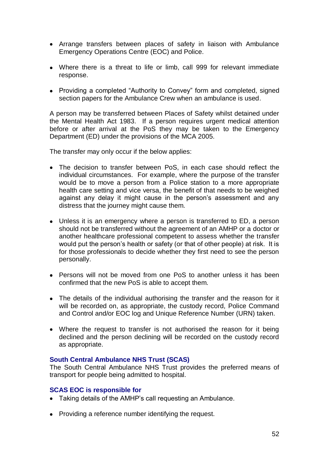- Arrange transfers between places of safety in liaison with Ambulance Emergency Operations Centre (EOC) and Police.
- Where there is a threat to life or limb, call 999 for relevant immediate response.
- Providing a completed "Authority to Convey" form and completed, signed section papers for the Ambulance Crew when an ambulance is used.

A person may be transferred between Places of Safety whilst detained under the Mental Health Act 1983. If a person requires urgent medical attention before or after arrival at the PoS they may be taken to the Emergency Department (ED) under the provisions of the MCA 2005.

The transfer may only occur if the below applies:

- The decision to transfer between PoS, in each case should reflect the individual circumstances. For example, where the purpose of the transfer would be to move a person from a Police station to a more appropriate health care setting and vice versa, the benefit of that needs to be weighed against any delay it might cause in the person's assessment and any distress that the journey might cause them.
- Unless it is an emergency where a person is transferred to ED, a person should not be transferred without the agreement of an AMHP or a doctor or another healthcare professional competent to assess whether the transfer would put the person's health or safety (or that of other people) at risk. It is for those professionals to decide whether they first need to see the person personally.
- Persons will not be moved from one PoS to another unless it has been confirmed that the new PoS is able to accept them.
- The details of the individual authorising the transfer and the reason for it will be recorded on, as appropriate, the custody record, Police Command and Control and/or EOC log and Unique Reference Number (URN) taken.
- Where the request to transfer is not authorised the reason for it being declined and the person declining will be recorded on the custody record as appropriate.

## **South Central Ambulance NHS Trust (SCAS)**

The South Central Ambulance NHS Trust provides the preferred means of transport for people being admitted to hospital.

## **SCAS EOC is responsible for**

- Taking details of the AMHP's call requesting an Ambulance.
- Providing a reference number identifying the request.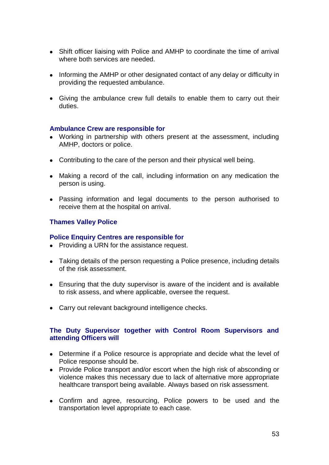- Shift officer liaising with Police and AMHP to coordinate the time of arrival where both services are needed.
- Informing the AMHP or other designated contact of any delay or difficulty in providing the requested ambulance.
- Giving the ambulance crew full details to enable them to carry out their duties.

#### **Ambulance Crew are responsible for**

- Working in partnership with others present at the assessment, including AMHP, doctors or police.
- Contributing to the care of the person and their physical well being.
- Making a record of the call, including information on any medication the person is using.
- Passing information and legal documents to the person authorised to receive them at the hospital on arrival.

## **Thames Valley Police**

## **Police Enquiry Centres are responsible for**

- Providing a URN for the assistance request.
- Taking details of the person requesting a Police presence, including details of the risk assessment.
- Ensuring that the duty supervisor is aware of the incident and is available to risk assess, and where applicable, oversee the request.
- Carry out relevant background intelligence checks.

## **The Duty Supervisor together with Control Room Supervisors and attending Officers will**

- Determine if a Police resource is appropriate and decide what the level of Police response should be.
- Provide Police transport and/or escort when the high risk of absconding or violence makes this necessary due to lack of alternative more appropriate healthcare transport being available. Always based on risk assessment.
- Confirm and agree, resourcing, Police powers to be used and the transportation level appropriate to each case.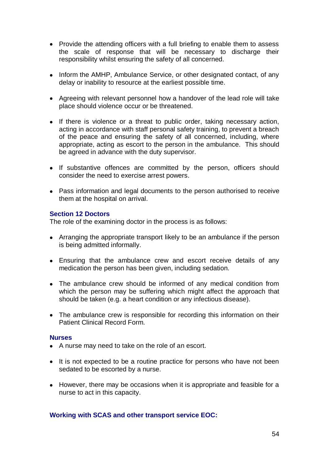- Provide the attending officers with a full briefing to enable them to assess the scale of response that will be necessary to discharge their responsibility whilst ensuring the safety of all concerned.
- Inform the AMHP, Ambulance Service, or other designated contact, of any delay or inability to resource at the earliest possible time.
- Agreeing with relevant personnel how a handover of the lead role will take place should violence occur or be threatened.
- If there is violence or a threat to public order, taking necessary action, acting in accordance with staff personal safety training, to prevent a breach of the peace and ensuring the safety of all concerned, including, where appropriate, acting as escort to the person in the ambulance. This should be agreed in advance with the duty supervisor.
- If substantive offences are committed by the person, officers should consider the need to exercise arrest powers.
- Pass information and legal documents to the person authorised to receive them at the hospital on arrival.

#### **Section 12 Doctors**

The role of the examining doctor in the process is as follows:

- Arranging the appropriate transport likely to be an ambulance if the person is being admitted informally.
- Ensuring that the ambulance crew and escort receive details of any medication the person has been given, including sedation.
- The ambulance crew should be informed of any medical condition from which the person may be suffering which might affect the approach that should be taken (e.g. a heart condition or any infectious disease).
- The ambulance crew is responsible for recording this information on their Patient Clinical Record Form.

#### **Nurses**

- A nurse may need to take on the role of an escort.
- It is not expected to be a routine practice for persons who have not been sedated to be escorted by a nurse.
- However, there may be occasions when it is appropriate and feasible for a nurse to act in this capacity.

## **Working with SCAS and other transport service EOC:**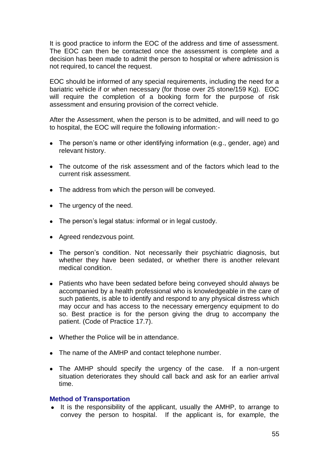It is good practice to inform the EOC of the address and time of assessment. The EOC can then be contacted once the assessment is complete and a decision has been made to admit the person to hospital or where admission is not required, to cancel the request.

EOC should be informed of any special requirements, including the need for a bariatric vehicle if or when necessary (for those over 25 stone/159 Kg). EOC will require the completion of a booking form for the purpose of risk assessment and ensuring provision of the correct vehicle.

After the Assessment, when the person is to be admitted, and will need to go to hospital, the EOC will require the following information:-

- The person's name or other identifying information (e.g., gender, age) and relevant history.
- The outcome of the risk assessment and of the factors which lead to the current risk assessment.
- The address from which the person will be conveyed.
- The urgency of the need.
- The person's legal status: informal or in legal custody.
- Agreed rendezvous point.
- The person's condition. Not necessarily their psychiatric diagnosis, but whether they have been sedated, or whether there is another relevant medical condition.
- Patients who have been sedated before being conveyed should always be accompanied by a health professional who is knowledgeable in the care of such patients, is able to identify and respond to any physical distress which may occur and has access to the necessary emergency equipment to do so. Best practice is for the person giving the drug to accompany the patient. (Code of Practice 17.7).
- Whether the Police will be in attendance.
- The name of the AMHP and contact telephone number.
- The AMHP should specify the urgency of the case. If a non-urgent situation deteriorates they should call back and ask for an earlier arrival time.

#### **Method of Transportation**

• It is the responsibility of the applicant, usually the AMHP, to arrange to convey the person to hospital. If the applicant is, for example, the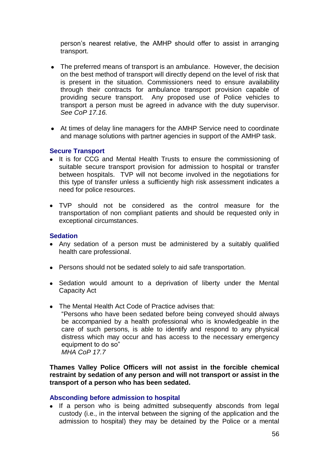person's nearest relative, the AMHP should offer to assist in arranging transport.

- The preferred means of transport is an ambulance. However, the decision on the best method of transport will directly depend on the level of risk that is present in the situation. Commissioners need to ensure availability through their contracts for ambulance transport provision capable of providing secure transport. Any proposed use of Police vehicles to transport a person must be agreed in advance with the duty supervisor. *See CoP 17.16.*
- At times of delay line managers for the AMHP Service need to coordinate and manage solutions with partner agencies in support of the AMHP task.

## **Secure Transport**

- It is for CCG and Mental Health Trusts to ensure the commissioning of suitable secure transport provision for admission to hospital or transfer between hospitals. TVP will not become involved in the negotiations for this type of transfer unless a sufficiently high risk assessment indicates a need for police resources.
- TVP should not be considered as the control measure for the transportation of non compliant patients and should be requested only in exceptional circumstances.

## **Sedation**

- Any sedation of a person must be administered by a suitably qualified health care professional.
- Persons should not be sedated solely to aid safe transportation.
- Sedation would amount to a deprivation of liberty under the Mental Capacity Act
- The Mental Health Act Code of Practice advises that:
	- ―Persons who have been sedated before being conveyed should always be accompanied by a health professional who is knowledgeable in the care of such persons, is able to identify and respond to any physical distress which may occur and has access to the necessary emergency equipment to do so" *MHA CoP 17.7*

**Thames Valley Police Officers will not assist in the forcible chemical restraint by sedation of any person and will not transport or assist in the transport of a person who has been sedated.**

#### **Absconding before admission to hospital**

• If a person who is being admitted subsequently absconds from legal custody (i.e., in the interval between the signing of the application and the admission to hospital) they may be detained by the Police or a mental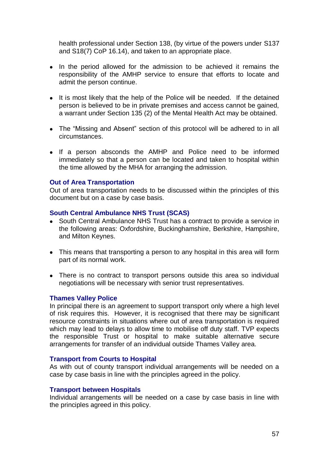health professional under Section 138, (by virtue of the powers under S137 and S18(7) CoP 16.14), and taken to an appropriate place.

- In the period allowed for the admission to be achieved it remains the responsibility of the AMHP service to ensure that efforts to locate and admit the person continue.
- It is most likely that the help of the Police will be needed. If the detained person is believed to be in private premises and access cannot be gained, a warrant under Section 135 (2) of the Mental Health Act may be obtained.
- The "Missing and Absent" section of this protocol will be adhered to in all circumstances.
- If a person absconds the AMHP and Police need to be informed immediately so that a person can be located and taken to hospital within the time allowed by the MHA for arranging the admission.

#### **Out of Area Transportation**

Out of area transportation needs to be discussed within the principles of this document but on a case by case basis.

#### **South Central Ambulance NHS Trust (SCAS)**

- South Central Ambulance NHS Trust has a contract to provide a service in the following areas: Oxfordshire, Buckinghamshire, Berkshire, Hampshire, and Milton Keynes.
- This means that transporting a person to any hospital in this area will form part of its normal work.
- There is no contract to transport persons outside this area so individual negotiations will be necessary with senior trust representatives.

#### **Thames Valley Police**

In principal there is an agreement to support transport only where a high level of risk requires this. However, it is recognised that there may be significant resource constraints in situations where out of area transportation is required which may lead to delays to allow time to mobilise off duty staff. TVP expects the responsible Trust or hospital to make suitable alternative secure arrangements for transfer of an individual outside Thames Valley area.

#### **Transport from Courts to Hospital**

As with out of county transport individual arrangements will be needed on a case by case basis in line with the principles agreed in the policy.

#### **Transport between Hospitals**

Individual arrangements will be needed on a case by case basis in line with the principles agreed in this policy.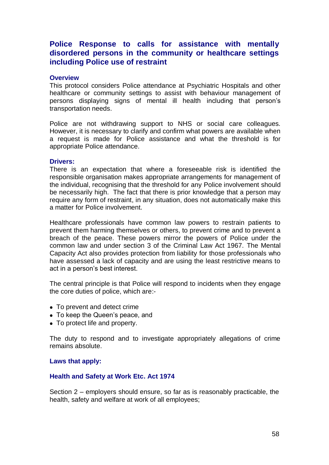## <span id="page-57-0"></span>**Police Response to calls for assistance with mentally disordered persons in the community or healthcare settings including Police use of restraint**

#### **Overview**

This protocol considers Police attendance at Psychiatric Hospitals and other healthcare or community settings to assist with behaviour management of persons displaying signs of mental ill health including that person's transportation needs.

Police are not withdrawing support to NHS or social care colleagues. However, it is necessary to clarify and confirm what powers are available when a request is made for Police assistance and what the threshold is for appropriate Police attendance.

#### **Drivers:**

There is an expectation that where a foreseeable risk is identified the responsible organisation makes appropriate arrangements for management of the individual, recognising that the threshold for any Police involvement should be necessarily high. The fact that there is prior knowledge that a person may require any form of restraint, in any situation, does not automatically make this a matter for Police involvement.

Healthcare professionals have common law powers to restrain patients to prevent them harming themselves or others, to prevent crime and to prevent a breach of the peace. These powers mirror the powers of Police under the common law and under section 3 of the Criminal Law Act 1967. The Mental Capacity Act also provides protection from liability for those professionals who have assessed a lack of capacity and are using the least restrictive means to act in a person's best interest.

The central principle is that Police will respond to incidents when they engage the core duties of police, which are:-

- To prevent and detect crime
- To keep the Queen's peace, and
- To protect life and property.

The duty to respond and to investigate appropriately allegations of crime remains absolute.

#### **Laws that apply:**

#### **Health and Safety at Work Etc. Act 1974**

Section 2 – employers should ensure, so far as is reasonably practicable, the health, safety and welfare at work of all employees;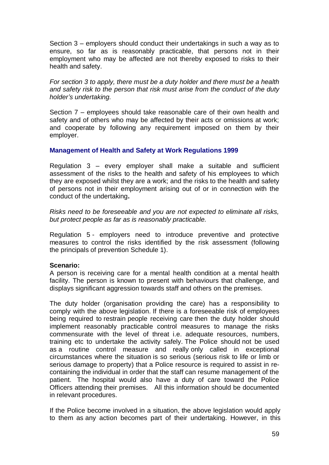Section 3 – employers should conduct their undertakings in such a way as to ensure, so far as is reasonably practicable, that persons not in their employment who may be affected are not thereby exposed to risks to their health and safety.

*For section 3 to apply, there must be a duty holder and there must be a health and safety risk to the person that risk must arise from the conduct of the duty holder's undertaking.*

Section 7 – employees should take reasonable care of their own health and safety and of others who may be affected by their acts or omissions at work; and cooperate by following any requirement imposed on them by their employer.

#### **Management of Health and Safety at Work Regulations 1999**

Regulation 3 – every employer shall make a suitable and sufficient assessment of the risks to the health and safety of his employees to which they are exposed whilst they are a work; and the risks to the health and safety of persons not in their employment arising out of or in connection with the conduct of the undertaking**.**

*Risks need to be foreseeable and you are not expected to eliminate all risks, but protect people as far as is reasonably practicable.* 

Regulation 5 - employers need to introduce preventive and protective measures to control the risks identified by the risk assessment (following the principals of prevention Schedule 1).

## **Scenario:**

A person is receiving care for a mental health condition at a mental health facility. The person is known to present with behaviours that challenge, and displays significant aggression towards staff and others on the premises.

The duty holder (organisation providing the care) has a responsibility to comply with the above legislation. If there is a foreseeable risk of employees being required to restrain people receiving care then the duty holder should implement reasonably practicable control measures to manage the risks commensurate with the level of threat i.e. adequate resources, numbers, training etc to undertake the activity safely. The Police should not be used as a routine control measure and really only called in exceptional circumstances where the situation is so serious (serious risk to life or limb or serious damage to property) that a Police resource is required to assist in recontaining the individual in order that the staff can resume management of the patient. The hospital would also have a duty of care toward the Police Officers attending their premises. All this information should be documented in relevant procedures.

If the Police become involved in a situation, the above legislation would apply to them as any action becomes part of their undertaking. However, in this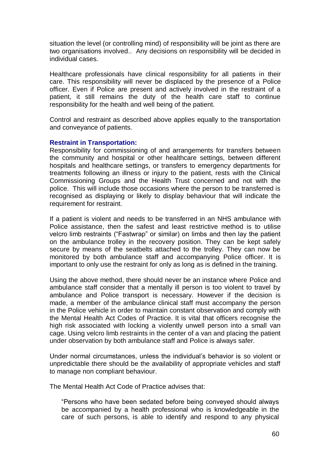situation the level (or controlling mind) of responsibility will be joint as there are two organisations involved.. Any decisions on responsibility will be decided in individual cases.

Healthcare professionals have clinical responsibility for all patients in their care. This responsibility will never be displaced by the presence of a Police officer. Even if Police are present and actively involved in the restraint of a patient, it still remains the duty of the health care staff to continue responsibility for the health and well being of the patient.

Control and restraint as described above applies equally to the transportation and conveyance of patients.

#### **Restraint in Transportation:**

Responsibility for commissioning of and arrangements for transfers between the community and hospital or other healthcare settings, between different hospitals and healthcare settings, or transfers to emergency departments for treatments following an illness or injury to the patient, rests with the Clinical Commissioning Groups and the Health Trust concerned and not with the police. This will include those occasions where the person to be transferred is recognised as displaying or likely to display behaviour that will indicate the requirement for restraint.

If a patient is violent and needs to be transferred in an NHS ambulance with Police assistance, then the safest and least restrictive method is to utilise velcro limb restraints ("Fastwrap" or similar) on limbs and then lay the patient on the ambulance trolley in the recovery position. They can be kept safely secure by means of the seatbelts attached to the trolley. They can now be monitored by both ambulance staff and accompanying Police officer. It is important to only use the restraint for only as long as is defined in the training.

Using the above method, there should never be an instance where Police and ambulance staff consider that a mentally ill person is too violent to travel by ambulance and Police transport is necessary. However if the decision is made, a member of the ambulance clinical staff must accompany the person in the Police vehicle in order to maintain constant observation and comply with the Mental Health Act Codes of Practice. It is vital that officers recognise the high risk associated with locking a violently unwell person into a small van cage. Using velcro limb restraints in the center of a van and placing the patient under observation by both ambulance staff and Police is always safer.

Under normal circumstances, unless the individual's behavior is so violent or unpredictable there should be the availability of appropriate vehicles and staff to manage non compliant behaviour.

The Mental Health Act Code of Practice advises that:

―Persons who have been sedated before being conveyed should always be accompanied by a health professional who is knowledgeable in the care of such persons, is able to identify and respond to any physical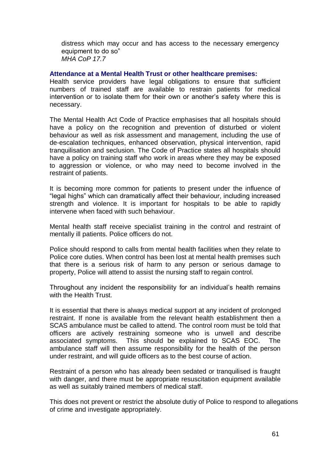distress which may occur and has access to the necessary emergency equipment to do so" *MHA CoP 17.7*

#### **Attendance at a Mental Health Trust or other healthcare premises:**

Health service providers have legal obligations to ensure that sufficient numbers of trained staff are available to restrain patients for medical intervention or to isolate them for their own or another's safety where this is necessary.

The Mental Health Act Code of Practice emphasises that all hospitals should have a policy on the recognition and prevention of disturbed or violent behaviour as well as risk assessment and management, including the use of de-escalation techniques, enhanced observation, physical intervention, rapid tranquilisation and seclusion. The Code of Practice states all hospitals should have a policy on training staff who work in areas where they may be exposed to aggression or violence, or who may need to become involved in the restraint of patients.

It is becoming more common for patients to present under the influence of "legal highs" which can dramatically affect their behaviour, including increased strength and violence. It is important for hospitals to be able to rapidly intervene when faced with such behaviour.

Mental health staff receive specialist training in the control and restraint of mentally ill patients. Police officers do not.

Police should respond to calls from mental health facilities when they relate to Police core duties. When control has been lost at mental health premises such that there is a serious risk of harm to any person or serious damage to property, Police will attend to assist the nursing staff to regain control.

Throughout any incident the responsibility for an individual's health remains with the Health Trust.

It is essential that there is always medical support at any incident of prolonged restraint. If none is available from the relevant health establishment then a SCAS ambulance must be called to attend. The control room must be told that officers are actively restraining someone who is unwell and describe associated symptoms. This should be explained to SCAS EOC. The ambulance staff will then assume responsibility for the health of the person under restraint, and will guide officers as to the best course of action.

Restraint of a person who has already been sedated or tranquilised is fraught with danger, and there must be appropriate resuscitation equipment available as well as suitably trained members of medical staff.

This does not prevent or restrict the absolute dutiy of Police to respond to allegations of crime and investigate appropriately.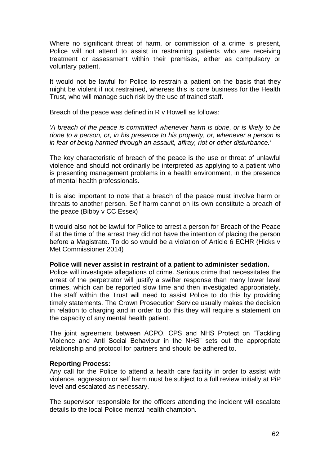Where no significant threat of harm, or commission of a crime is present, Police will not attend to assist in restraining patients who are receiving treatment or assessment within their premises, either as compulsory or voluntary patient.

It would not be lawful for Police to restrain a patient on the basis that they might be violent if not restrained, whereas this is core business for the Health Trust, who will manage such risk by the use of trained staff.

Breach of the peace was defined in R v Howell as follows:

*'A breach of the peace is committed whenever harm is done, or is likely to be done to a person, or, in his presence to his property, or, whenever a person is in fear of being harmed through an assault, affray, riot or other disturbance.'*

The key characteristic of breach of the peace is the use or threat of unlawful violence and should not ordinarily be interpreted as applying to a patient who is presenting management problems in a health environment, in the presence of mental health professionals.

It is also important to note that a breach of the peace must involve harm or threats to another person. Self harm cannot on its own constitute a breach of the peace (Bibby v CC Essex)

It would also not be lawful for Police to arrest a person for Breach of the Peace if at the time of the arrest they did not have the intention of placing the person before a Magistrate. To do so would be a violation of Article 6 ECHR (Hicks v Met Commissioner 2014)

#### **Police will never assist in restraint of a patient to administer sedation.**

Police will investigate allegations of crime. Serious crime that necessitates the arrest of the perpetrator will justify a swifter response than many lower level crimes, which can be reported slow time and then investigated appropriately. The staff within the Trust will need to assist Police to do this by providing timely statements. The Crown Prosecution Service usually makes the decision in relation to charging and in order to do this they will require a statement on the capacity of any mental health patient.

The joint agreement between ACPO, CPS and NHS Protect on "Tackling Violence and Anti Social Behaviour in the NHS‖ sets out the appropriate relationship and protocol for partners and should be adhered to.

#### **Reporting Process:**

Any call for the Police to attend a health care facility in order to assist with violence, aggression or self harm must be subject to a full review initially at PiP level and escalated as necessary.

The supervisor responsible for the officers attending the incident will escalate details to the local Police mental health champion.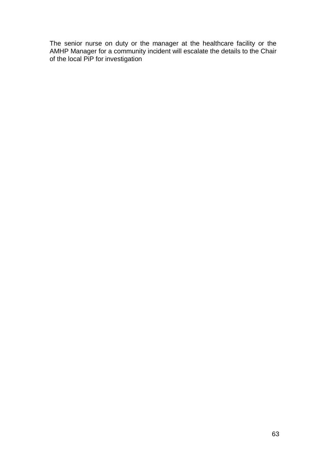The senior nurse on duty or the manager at the healthcare facility or the AMHP Manager for a community incident will escalate the details to the Chair of the local PiP for investigation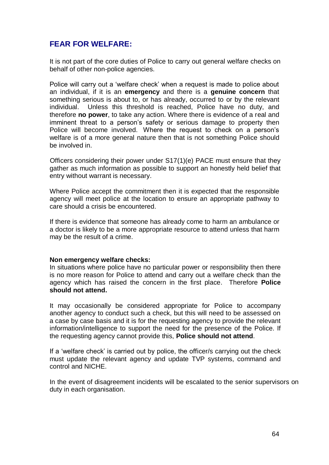## <span id="page-63-0"></span>**FEAR FOR WELFARE:**

It is not part of the core duties of Police to carry out general welfare checks on behalf of other non-police agencies.

Police will carry out a 'welfare check' when a request is made to police about an individual, if it is an **emergency** and there is a **genuine concern** that something serious is about to, or has already, occurred to or by the relevant individual. Unless this threshold is reached, Police have no duty, and therefore **no power**, to take any action. Where there is evidence of a real and imminent threat to a person's safety or serious damage to property then Police will become involved. Where the request to check on a person's welfare is of a more general nature then that is not something Police should be involved in.

Officers considering their power under S17(1)(e) PACE must ensure that they gather as much information as possible to support an honestly held belief that entry without warrant is necessary.

Where Police accept the commitment then it is expected that the responsible agency will meet police at the location to ensure an appropriate pathway to care should a crisis be encountered.

If there is evidence that someone has already come to harm an ambulance or a doctor is likely to be a more appropriate resource to attend unless that harm may be the result of a crime.

#### **Non emergency welfare checks:**

In situations where police have no particular power or responsibility then there is no more reason for Police to attend and carry out a welfare check than the agency which has raised the concern in the first place. Therefore **Police should not attend.**

It may occasionally be considered appropriate for Police to accompany another agency to conduct such a check, but this will need to be assessed on a case by case basis and it is for the requesting agency to provide the relevant information/intelligence to support the need for the presence of the Police. If the requesting agency cannot provide this, **Police should not attend**.

If a 'welfare check' is carried out by police, the officer/s carrying out the check must update the relevant agency and update TVP systems, command and control and NICHE.

In the event of disagreement incidents will be escalated to the senior supervisors on duty in each organisation.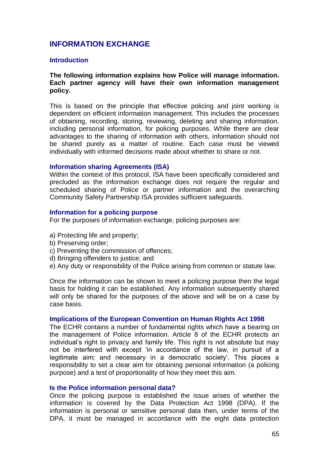## <span id="page-64-0"></span>**INFORMATION EXCHANGE**

#### **Introduction**

#### **The following information explains how Police will manage information. Each partner agency will have their own information management policy.**

This is based on the principle that effective policing and joint working is dependent on efficient information management. This includes the processes of obtaining, recording, storing, reviewing, deleting and sharing information, including personal information, for policing purposes. While there are clear advantages to the sharing of information with others, information should not be shared purely as a matter of routine. Each case must be viewed individually with informed decisions made about whether to share or not.

#### **Information sharing Agreements (ISA)**

Within the context of this protocol, ISA have been specifically considered and precluded as the information exchange does not require the regular and scheduled sharing of Police or partner information and the overarching Community Safety Partnership ISA provides sufficient safeguards.

#### **Information for a policing purpose**

For the purposes of information exchange, policing purposes are:

- a) Protecting life and property;
- b) Preserving order;
- c) Preventing the commission of offences;
- d) Bringing offenders to justice; and
- e) Any duty or responsibility of the Police arising from common or statute law.

Once the information can be shown to meet a policing purpose then the legal basis for holding it can be established. Any information subsequently shared will only be shared for the purposes of the above and will be on a case by case basis.

#### **Implications of the European Convention on Human Rights Act 1998**

The ECHR contains a number of fundamental rights which have a bearing on the management of Police information. Article 8 of the ECHR protects an individual's right to privacy and family life. This right is not absolute but may not be interfered with except 'in accordance of the law, in pursuit of a legitimate aim; and necessary in a democratic society'. This places a responsibility to set a clear aim for obtaining personal information (a policing purpose) and a test of proportionality of how they meet this aim.

#### **Is the Police information personal data?**

Once the policing purpose is established the issue arises of whether the information is covered by the Data Protection Act 1998 (DPA). If the information is personal or sensitive personal data then, under terms of the DPA, it must be managed in accordance with the eight data protection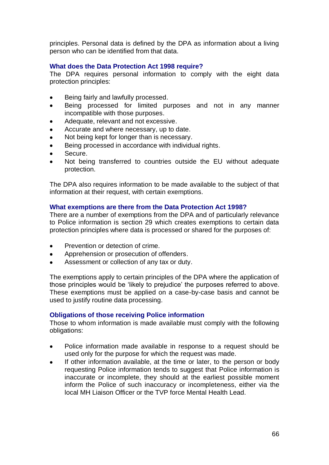principles. Personal data is defined by the DPA as information about a living person who can be identified from that data.

## **What does the Data Protection Act 1998 require?**

The DPA requires personal information to comply with the eight data protection principles:

- Being fairly and lawfully processed.
- Being processed for limited purposes and not in any manner  $\bullet$ incompatible with those purposes.
- Adequate, relevant and not excessive.
- Accurate and where necessary, up to date.
- Not being kept for longer than is necessary.
- Being processed in accordance with individual rights.
- Secure.
- Not being transferred to countries outside the EU without adequate protection.

The DPA also requires information to be made available to the subject of that information at their request, with certain exemptions.

## **What exemptions are there from the Data Protection Act 1998?**

There are a number of exemptions from the DPA and of particularly relevance to Police information is section 29 which creates exemptions to certain data protection principles where data is processed or shared for the purposes of:

- Prevention or detection of crime.  $\bullet$
- Apprehension or prosecution of offenders.
- Assessment or collection of any tax or duty.

The exemptions apply to certain principles of the DPA where the application of those principles would be 'likely to prejudice' the purposes referred to above. These exemptions must be applied on a case-by-case basis and cannot be used to justify routine data processing.

#### **Obligations of those receiving Police information**

Those to whom information is made available must comply with the following obligations:

- Police information made available in response to a request should be  $\bullet$ used only for the purpose for which the request was made.
- If other information available, at the time or later, to the person or body  $\bullet$ requesting Police information tends to suggest that Police information is inaccurate or incomplete, they should at the earliest possible moment inform the Police of such inaccuracy or incompleteness, either via the local MH Liaison Officer or the TVP force Mental Health Lead.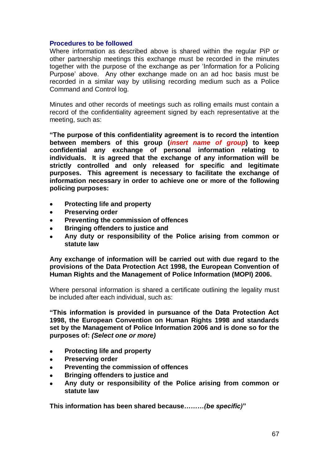#### **Procedures to be followed**

Where information as described above is shared within the regular PiP or other partnership meetings this exchange must be recorded in the minutes together with the purpose of the exchange as per 'Information for a Policing Purpose' above. Any other exchange made on an ad hoc basis must be recorded in a similar way by utilising recording medium such as a Police Command and Control log.

Minutes and other records of meetings such as rolling emails must contain a record of the confidentiality agreement signed by each representative at the meeting, such as:

**"The purpose of this confidentiality agreement is to record the intention between members of this group (***insert name of group***) to keep confidential any exchange of personal information relating to individuals. It is agreed that the exchange of any information will be strictly controlled and only released for specific and legitimate purposes. This agreement is necessary to facilitate the exchange of information necessary in order to achieve one or more of the following policing purposes:**

- **Protecting life and property**  $\bullet$
- **Preserving order**
- **Preventing the commission of offences**  $\bullet$
- **Bringing offenders to justice and**
- **Any duty or responsibility of the Police arising from common or statute law**

**Any exchange of information will be carried out with due regard to the provisions of the Data Protection Act 1998, the European Convention of Human Rights and the Management of Police Information (MOPI) 2006.**

Where personal information is shared a certificate outlining the legality must be included after each individual, such as:

**"This information is provided in pursuance of the Data Protection Act 1998, the European Convention on Human Rights 1998 and standards set by the Management of Police Information 2006 and is done so for the purposes of:** *(Select one or more)*

- **Protecting life and property**  $\bullet$
- **Preserving order**  $\bullet$
- **Preventing the commission of offences**
- **Bringing offenders to justice and**  $\bullet$
- **Any duty or responsibility of the Police arising from common or statute law**

**This information has been shared because***………(be specific)***"**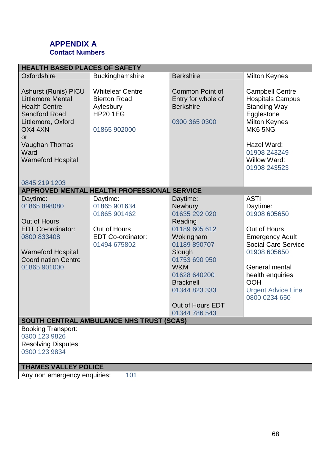## <span id="page-67-0"></span>**APPENDIX A Contact Numbers**

| <b>HEALTH BASED PLACES OF SAFETY</b>                                                                                                                                                                  |                                                                                                |                                                                                                                                                                                                                                  |                                                                                                                                                                                                                                   |  |
|-------------------------------------------------------------------------------------------------------------------------------------------------------------------------------------------------------|------------------------------------------------------------------------------------------------|----------------------------------------------------------------------------------------------------------------------------------------------------------------------------------------------------------------------------------|-----------------------------------------------------------------------------------------------------------------------------------------------------------------------------------------------------------------------------------|--|
| Oxfordshire                                                                                                                                                                                           | Buckinghamshire                                                                                | <b>Berkshire</b>                                                                                                                                                                                                                 | <b>Milton Keynes</b>                                                                                                                                                                                                              |  |
| <b>Ashurst (Runis) PICU</b><br><b>Littlemore Mental</b><br><b>Health Centre</b><br><b>Sandford Road</b><br>Littlemore, Oxford<br>OX4 4XN<br>or<br>Vaughan Thomas<br>Ward<br><b>Warneford Hospital</b> | <b>Whiteleaf Centre</b><br><b>Bierton Road</b><br>Aylesbury<br><b>HP20 1EG</b><br>01865 902000 | <b>Common Point of</b><br>Entry for whole of<br><b>Berkshire</b><br>0300 365 0300                                                                                                                                                | <b>Campbell Centre</b><br><b>Hospitals Campus</b><br><b>Standing Way</b><br>Egglestone<br><b>Milton Keynes</b><br>MK6 5NG<br>Hazel Ward:<br>01908 243249<br><b>Willow Ward:</b><br>01908 243523                                   |  |
| 0845 219 1203                                                                                                                                                                                         | APPROVED MENTAL HEALTH PROFESSIONAL SERVICE                                                    |                                                                                                                                                                                                                                  |                                                                                                                                                                                                                                   |  |
| Daytime:<br>01865 898080<br>Out of Hours<br><b>EDT Co-ordinator:</b><br>0800 833408<br><b>Warneford Hospital</b><br><b>Coordination Centre</b><br>01865 901000                                        | Daytime:<br>01865 901634<br>01865 901462<br>Out of Hours<br>EDT Co-ordinator:<br>01494 675802  | Daytime:<br><b>Newbury</b><br>01635 292 020<br>Reading<br>01189 605 612<br>Wokingham<br>01189 890707<br>Slough<br>01753 690 950<br>W&M<br>01628 640200<br><b>Bracknell</b><br>01344 823 333<br>Out of Hours EDT<br>01344 786 543 | <b>ASTI</b><br>Daytime:<br>01908 605650<br>Out of Hours<br><b>Emergency Adult</b><br><b>Social Care Service</b><br>01908 605650<br>General mental<br>health enquiries<br><b>OOH</b><br><b>Urgent Advice Line</b><br>0800 0234 650 |  |
| SOUTH CENTRAL AMBULANCE NHS TRUST (SCAS)<br><b>Booking Transport:</b>                                                                                                                                 |                                                                                                |                                                                                                                                                                                                                                  |                                                                                                                                                                                                                                   |  |
| 0300 123 9826<br><b>Resolving Disputes:</b><br>0300 123 9834                                                                                                                                          |                                                                                                |                                                                                                                                                                                                                                  |                                                                                                                                                                                                                                   |  |
| <b>THAMES VALLEY POLICE</b>                                                                                                                                                                           |                                                                                                |                                                                                                                                                                                                                                  |                                                                                                                                                                                                                                   |  |
| Any non emergency enquiries:                                                                                                                                                                          | 101                                                                                            |                                                                                                                                                                                                                                  |                                                                                                                                                                                                                                   |  |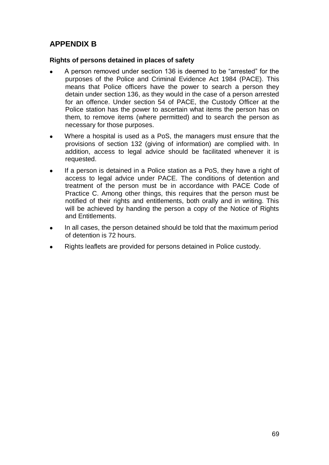## <span id="page-68-0"></span>**APPENDIX B**

## **Rights of persons detained in places of safety**

- A person removed under section 136 is deemed to be "arrested" for the purposes of the Police and Criminal Evidence Act 1984 (PACE). This means that Police officers have the power to search a person they detain under section 136, as they would in the case of a person arrested for an offence. Under section 54 of PACE, the Custody Officer at the Police station has the power to ascertain what items the person has on them, to remove items (where permitted) and to search the person as necessary for those purposes.
- Where a hospital is used as a PoS, the managers must ensure that the provisions of section 132 (giving of information) are complied with. In addition, access to legal advice should be facilitated whenever it is requested.
- If a person is detained in a Police station as a PoS, they have a right of access to legal advice under PACE. The conditions of detention and treatment of the person must be in accordance with PACE Code of Practice C. Among other things, this requires that the person must be notified of their rights and entitlements, both orally and in writing. This will be achieved by handing the person a copy of the Notice of Rights and Entitlements.
- In all cases, the person detained should be told that the maximum period of detention is 72 hours.
- Rights leaflets are provided for persons detained in Police custody.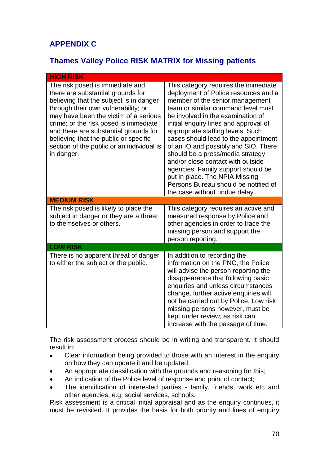# <span id="page-69-0"></span>**APPENDIX C**

## **Thames Valley Police RISK MATRIX for Missing patients**

| <b>HIGH RISK</b>                                                                                                                                                                                                                                                                                                                                                                      |                                                                                                                                                                                                                                                                                                                                                                                                                                                                                                                                                                                    |  |  |  |
|---------------------------------------------------------------------------------------------------------------------------------------------------------------------------------------------------------------------------------------------------------------------------------------------------------------------------------------------------------------------------------------|------------------------------------------------------------------------------------------------------------------------------------------------------------------------------------------------------------------------------------------------------------------------------------------------------------------------------------------------------------------------------------------------------------------------------------------------------------------------------------------------------------------------------------------------------------------------------------|--|--|--|
| The risk posed is immediate and<br>there are substantial grounds for<br>believing that the subject is in danger<br>through their own vulnerability; or<br>may have been the victim of a serious<br>crime; or the risk posed is immediate<br>and there are substantial grounds for<br>believing that the public or specific<br>section of the public or an individual is<br>in danger. | This category requires the immediate<br>deployment of Police resources and a<br>member of the senior management<br>team or similar command level must<br>be involved in the examination of<br>initial enquiry lines and approval of<br>appropriate staffing levels. Such<br>cases should lead to the appointment<br>of an IO and possibly and SIO. There<br>should be a press/media strategy<br>and/or close contact with outside<br>agencies. Family support should be<br>put in place. The NPIA Missing<br>Persons Bureau should be notified of<br>the case without undue delay. |  |  |  |
| <b>MEDIUM RISK</b>                                                                                                                                                                                                                                                                                                                                                                    |                                                                                                                                                                                                                                                                                                                                                                                                                                                                                                                                                                                    |  |  |  |
| The risk posed is likely to place the<br>subject in danger or they are a threat<br>to themselves or others.                                                                                                                                                                                                                                                                           | This category requires an active and<br>measured response by Police and<br>other agencies in order to trace the<br>missing person and support the<br>person reporting.                                                                                                                                                                                                                                                                                                                                                                                                             |  |  |  |
| <b>LOW RISK</b>                                                                                                                                                                                                                                                                                                                                                                       |                                                                                                                                                                                                                                                                                                                                                                                                                                                                                                                                                                                    |  |  |  |
| There is no apparent threat of danger<br>to either the subject or the public.                                                                                                                                                                                                                                                                                                         | In addition to recording the<br>information on the PNC, the Police<br>will advise the person reporting the<br>disappearance that following basic<br>enquiries and unless circumstances<br>change, further active enquiries will<br>not be carried out by Police. Low risk<br>missing persons however, must be<br>kept under review, as risk can<br>increase with the passage of time.                                                                                                                                                                                              |  |  |  |

The risk assessment process should be in writing and transparent. It should result in:

- $\bullet$ Clear information being provided to those with an interest in the enquiry on how they can update it and be updated;
- An appropriate classification with the grounds and reasoning for this;
- An indication of the Police level of response and point of contact;  $\bullet$
- The identification of interested parties family, friends, work etc and other agencies, e.g. social services, schools.

Risk assessment is a critical initial appraisal and as the enquiry continues, it must be revisited. It provides the basis for both priority and lines of enquiry